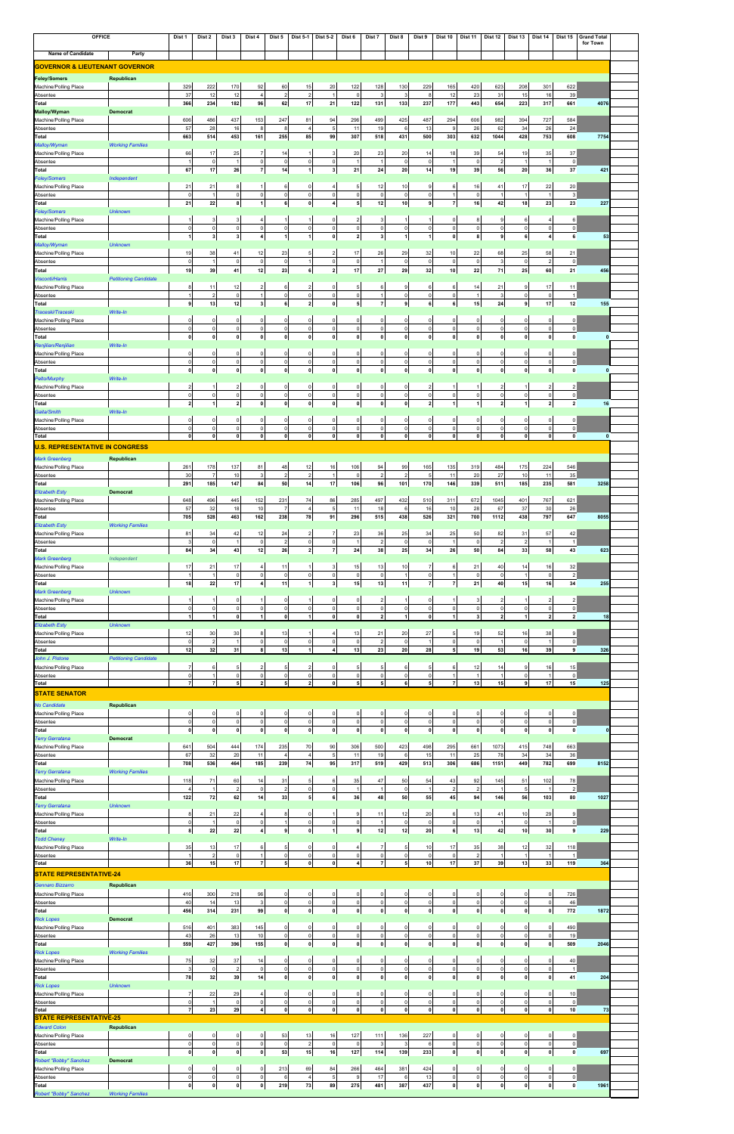| <b>Name of Candidate</b><br><b>GOVERNOR &amp; LIEUTENANT GOVERNOR</b><br><b>Foley/Somers</b><br>Republican<br>Machine/Polling Place<br>Absentee<br>Total<br><b>Malloy/Wyman</b><br><b>Democrat</b><br>Machine/Polling Place<br>Absentee<br>Total<br>Malloy/Wyman<br><b>Working Families</b><br>Machine/Polling Place<br>Absentee<br><b>Total</b><br><b>Foley/Somers</b><br>Independent<br>Machine/Polling Place<br>Absentee<br>Total<br><b>Unknown</b><br><b>Foley/Somers</b><br>Machine/Polling Place<br>Absentee<br><b>Total</b><br>Malloy/Wyman<br><b>Unknown</b><br>Machine/Polling Place<br>Absentee<br><b>Total</b><br><b>Petitioning Candidate</b><br><b>Visconti/Harris</b><br>Machine/Polling Place<br>Absentee<br>Total<br>Write-In<br>Traceski/Traceski<br>Machine/Polling Place<br>Absentee<br><b>Total</b><br>Write-In<br>Renjilian/Renjilian<br>Machine/Polling Place<br>Absentee<br><b>Total</b><br>Write-In<br><b>Pelto/Murphy</b><br>Machine/Polling Place<br>Absentee<br><b>Total</b><br>Gaita/Smith<br>Write-In<br>Machine/Polling Place<br>Absentee<br><b>Total</b><br><b>U.S. REPRESENTATIVE IN CONGRESS</b><br><b>Mark Greenberg</b><br>Republican<br>Machine/Polling Place<br>Absentee<br><b>Total</b><br><b>Elizabeth Esty</b><br><b>Democrat</b><br>Machine/Polling Place<br>Absentee<br>Total<br><b>Elizabeth Esty</b><br><b>Working Families</b><br>Machine/Polling Place<br>Absentee<br><b>Total</b><br><b>Mark Greenberg</b><br>Independent<br>Machine/Polling Place<br>Absentee<br>Total<br><b>Mark Greenberg</b><br><b>Unknown</b><br>Machine/Polling Place<br>Absentee<br><b>Total</b><br><b>Unknown</b><br><b>Elizabeth Esty</b><br>Machine/Polling Place<br>Absentee<br><b>Total</b><br><b>Petitioning Candidate</b><br>John J. Pistone<br>Machine/Polling Place<br>Absentee<br><b>Total</b><br><b>STATE SENATOR</b><br><b>No Candidate</b><br>Republican<br>Machine/Polling Place<br>Absentee<br><b>Total</b><br><b>Terry Gerratana</b><br><b>Democrat</b><br>Machine/Polling Place<br>Absentee<br><b>Total</b><br><b>Working Families</b><br><b>Terry Gerratana</b><br>Machine/Polling Place<br>Absentee<br><b>Total</b><br><b>Unknown</b><br><b>Terry Gerratana</b><br>Machine/Polling Place<br>Absentee | Party | 329<br>37<br>366<br>606<br>57<br>663<br>66<br>-1<br>67<br>21<br>$\overline{0}$<br>21<br>-1<br>$\Omega$<br>-1<br>19<br>$\Omega$<br>19<br>8<br>-1<br>9<br>$\Omega$<br>$\mathbf 0$<br>$\mathbf{0}$<br>$\Omega$<br>$\mathbf 0$<br>$\mathbf{0}$<br>$\overline{2}$<br>$\mathbf 0$<br>$\overline{2}$<br>$\Omega$<br>$\Omega$<br>$\mathbf{0}$ | 222<br>12<br>234<br>486<br>28<br>514<br>17<br>$\mathsf 0$<br>17<br>21<br>22<br>3<br>$\circ$<br>3 <sup>1</sup><br>38<br>-1<br>39<br>11<br>$\overline{2}$<br>13<br>0<br>$\circ$<br> 0 <br>0<br>$\circ$<br> 0 <br>$\circ$<br>$\mathbf{1}$<br>$\Omega$<br>$\mathbf 0$<br> 0 | 170<br>12<br>182<br>437<br>16<br>453<br>25<br>$\mathbf{1}$<br>26<br>8<br> 0 <br>8<br>3 <sub>l</sub><br> 0 <br>3 <sup>1</sup><br>41<br> 0 <br>41<br>12<br> 0 <br>12<br>$\circ$<br> 0 <br> 0 <br>$\circ$<br> 0 <br> 0 <br>$2 \vert$<br> 0 <br>$\mathbf{2}$<br>$\overline{0}$<br>$\circ$ | 92<br>$\overline{4}$<br>96<br>153<br>8<br>161<br>7<br>$\mathbf 0$<br>$\overline{7}$<br>-1<br>$\mathbf 0$<br>$\mathbf{1}$<br>4<br>$\mathsf{O}$<br>4<br>12<br>$\mathsf{O}$<br>12<br>$\overline{2}$<br>$\vert$<br>3 <sup>1</sup><br>$\mathbf 0$<br>$\circ$<br> 0 <br>$\mathbf 0$<br>$\circ$<br>$\mathbf{0}$<br>$\mathbf 0$ | 60<br>$\overline{a}$<br>62<br>247<br>8<br>255<br>14<br>$\mathbf 0$<br>14<br>6<br> 0 <br>6<br>$\mathbf{1}$<br> 0 <br>$\mathbf{1}$<br>23<br> 0 <br>23<br>6<br> 0 <br>6<br>$\circ$<br> 0 <br>$\mathbf{0}$ | 15<br>$2 \mid$<br>17<br>81<br>$\overline{4}$<br>85<br>1<br>$\circ$<br>$\mathbf{1}$<br>$\Omega$<br>$\circ$<br>$\mathbf{0}$<br>1<br>$\circ$<br>$\mathbf{1}$<br>5<br>$\mathbf{1}$<br>6 <sup>1</sup><br>$\overline{2}$<br>$\circ$<br>2 | 20<br>21<br>94<br>-5<br>99<br>3<br>$\mathbf 0$<br>$3 \mid$<br>0<br>4<br>$\Omega$<br>$\mathbf 0$<br>$\mathbf{0}$<br>2<br>$\mathsf{O}$<br>2 <br>$\Omega$<br>$\mathbf 0$ | 122<br>$\overline{\mathbf{0}}$<br>122<br>296<br>11<br>307<br>20<br>-1<br>21<br>5<br>$\mathbf 0$<br>5<br>$\overline{2}$<br>$\mathbf 0$<br>$\overline{\mathbf{z}}$<br>17<br>$\mathbf 0$<br>17<br>5 | 128<br>$\mathbf{3}$<br>131<br>499<br>19<br>518<br>23<br>$\overline{1}$<br>24<br>12<br>$\mathsf{O}$<br>12<br>3<br>$\circ$<br>3 <sup>1</sup><br>26<br>$\overline{1}$ | 130<br>3<br>$133$<br>425<br>6<br>431<br>20<br>$\circ$<br>20<br>10<br>$\circ$<br>10<br>-1<br>$\circ$<br>1 | 229<br>8<br>237<br>487<br>13<br>500<br>14<br>$\mathbf 0$<br>14<br>$\mathbf{Q}$<br>$\mathbf 0$<br>9<br>$\mathbf 0$<br>$\mathbf{1}$ | 165<br>12<br>177<br>294<br>9<br>303<br>18<br>-1<br>19<br>6<br>$\mathbf{1}$<br>$\overline{7}$<br>$\mathbf 0$<br>$\mathsf 0$<br>$\mathbf{0}$ | 420<br>23<br>443<br>606<br>26<br>632<br>39<br>$\circ$<br>39<br>16<br>$\circ$<br>16<br>8<br>$\circ$<br>8 | 623<br>31<br>654<br>982<br>62<br>1044<br>54<br>$\overline{2}$<br>56<br>41<br>-1<br>42<br>9<br>$\circ$<br>9 | 208<br>15<br>223<br>394<br>34<br>428<br>19<br>$\overline{1}$<br>20<br>17<br>$\overline{1}$<br>18<br>6<br>$\mathsf{o}$<br>6 | 301<br>16<br>317<br>727<br>26<br>753<br>35<br>$\overline{1}$<br>36<br>22<br>$\overline{1}$<br>23<br>4<br>$\circ$<br>$\overline{4}$<br>58 | 622<br>39<br>661<br>584<br>24<br>608<br>37<br>$\circ$<br>37<br>20<br>$\mathbf{3}$<br>23<br>6<br> 0 <br>6<br>21 | 4076<br>7754<br>421<br>227<br>53 |
|-----------------------------------------------------------------------------------------------------------------------------------------------------------------------------------------------------------------------------------------------------------------------------------------------------------------------------------------------------------------------------------------------------------------------------------------------------------------------------------------------------------------------------------------------------------------------------------------------------------------------------------------------------------------------------------------------------------------------------------------------------------------------------------------------------------------------------------------------------------------------------------------------------------------------------------------------------------------------------------------------------------------------------------------------------------------------------------------------------------------------------------------------------------------------------------------------------------------------------------------------------------------------------------------------------------------------------------------------------------------------------------------------------------------------------------------------------------------------------------------------------------------------------------------------------------------------------------------------------------------------------------------------------------------------------------------------------------------------------------------------------------------------------------------------------------------------------------------------------------------------------------------------------------------------------------------------------------------------------------------------------------------------------------------------------------------------------------------------------------------------------------------------------------------------------------------------------------------------------------------------|-------|---------------------------------------------------------------------------------------------------------------------------------------------------------------------------------------------------------------------------------------------------------------------------------------------------------------------------------------|-------------------------------------------------------------------------------------------------------------------------------------------------------------------------------------------------------------------------------------------------------------------------|---------------------------------------------------------------------------------------------------------------------------------------------------------------------------------------------------------------------------------------------------------------------------------------|-------------------------------------------------------------------------------------------------------------------------------------------------------------------------------------------------------------------------------------------------------------------------------------------------------------------------|--------------------------------------------------------------------------------------------------------------------------------------------------------------------------------------------------------|------------------------------------------------------------------------------------------------------------------------------------------------------------------------------------------------------------------------------------|-----------------------------------------------------------------------------------------------------------------------------------------------------------------------|--------------------------------------------------------------------------------------------------------------------------------------------------------------------------------------------------|--------------------------------------------------------------------------------------------------------------------------------------------------------------------|----------------------------------------------------------------------------------------------------------|-----------------------------------------------------------------------------------------------------------------------------------|--------------------------------------------------------------------------------------------------------------------------------------------|---------------------------------------------------------------------------------------------------------|------------------------------------------------------------------------------------------------------------|----------------------------------------------------------------------------------------------------------------------------|------------------------------------------------------------------------------------------------------------------------------------------|----------------------------------------------------------------------------------------------------------------|----------------------------------|
|                                                                                                                                                                                                                                                                                                                                                                                                                                                                                                                                                                                                                                                                                                                                                                                                                                                                                                                                                                                                                                                                                                                                                                                                                                                                                                                                                                                                                                                                                                                                                                                                                                                                                                                                                                                                                                                                                                                                                                                                                                                                                                                                                                                                                                               |       |                                                                                                                                                                                                                                                                                                                                       |                                                                                                                                                                                                                                                                         |                                                                                                                                                                                                                                                                                       |                                                                                                                                                                                                                                                                                                                         |                                                                                                                                                                                                        |                                                                                                                                                                                                                                    |                                                                                                                                                                       |                                                                                                                                                                                                  |                                                                                                                                                                    |                                                                                                          |                                                                                                                                   |                                                                                                                                            |                                                                                                         |                                                                                                            |                                                                                                                            |                                                                                                                                          |                                                                                                                |                                  |
|                                                                                                                                                                                                                                                                                                                                                                                                                                                                                                                                                                                                                                                                                                                                                                                                                                                                                                                                                                                                                                                                                                                                                                                                                                                                                                                                                                                                                                                                                                                                                                                                                                                                                                                                                                                                                                                                                                                                                                                                                                                                                                                                                                                                                                               |       |                                                                                                                                                                                                                                                                                                                                       |                                                                                                                                                                                                                                                                         |                                                                                                                                                                                                                                                                                       |                                                                                                                                                                                                                                                                                                                         |                                                                                                                                                                                                        |                                                                                                                                                                                                                                    |                                                                                                                                                                       |                                                                                                                                                                                                  |                                                                                                                                                                    |                                                                                                          |                                                                                                                                   |                                                                                                                                            |                                                                                                         |                                                                                                            |                                                                                                                            |                                                                                                                                          |                                                                                                                |                                  |
|                                                                                                                                                                                                                                                                                                                                                                                                                                                                                                                                                                                                                                                                                                                                                                                                                                                                                                                                                                                                                                                                                                                                                                                                                                                                                                                                                                                                                                                                                                                                                                                                                                                                                                                                                                                                                                                                                                                                                                                                                                                                                                                                                                                                                                               |       |                                                                                                                                                                                                                                                                                                                                       |                                                                                                                                                                                                                                                                         |                                                                                                                                                                                                                                                                                       |                                                                                                                                                                                                                                                                                                                         |                                                                                                                                                                                                        |                                                                                                                                                                                                                                    |                                                                                                                                                                       |                                                                                                                                                                                                  |                                                                                                                                                                    |                                                                                                          |                                                                                                                                   |                                                                                                                                            |                                                                                                         |                                                                                                            |                                                                                                                            |                                                                                                                                          |                                                                                                                |                                  |
|                                                                                                                                                                                                                                                                                                                                                                                                                                                                                                                                                                                                                                                                                                                                                                                                                                                                                                                                                                                                                                                                                                                                                                                                                                                                                                                                                                                                                                                                                                                                                                                                                                                                                                                                                                                                                                                                                                                                                                                                                                                                                                                                                                                                                                               |       |                                                                                                                                                                                                                                                                                                                                       |                                                                                                                                                                                                                                                                         |                                                                                                                                                                                                                                                                                       |                                                                                                                                                                                                                                                                                                                         |                                                                                                                                                                                                        |                                                                                                                                                                                                                                    |                                                                                                                                                                       |                                                                                                                                                                                                  |                                                                                                                                                                    |                                                                                                          |                                                                                                                                   |                                                                                                                                            |                                                                                                         |                                                                                                            |                                                                                                                            |                                                                                                                                          |                                                                                                                |                                  |
|                                                                                                                                                                                                                                                                                                                                                                                                                                                                                                                                                                                                                                                                                                                                                                                                                                                                                                                                                                                                                                                                                                                                                                                                                                                                                                                                                                                                                                                                                                                                                                                                                                                                                                                                                                                                                                                                                                                                                                                                                                                                                                                                                                                                                                               |       |                                                                                                                                                                                                                                                                                                                                       |                                                                                                                                                                                                                                                                         |                                                                                                                                                                                                                                                                                       |                                                                                                                                                                                                                                                                                                                         |                                                                                                                                                                                                        |                                                                                                                                                                                                                                    |                                                                                                                                                                       |                                                                                                                                                                                                  |                                                                                                                                                                    |                                                                                                          |                                                                                                                                   |                                                                                                                                            |                                                                                                         |                                                                                                            |                                                                                                                            |                                                                                                                                          |                                                                                                                |                                  |
|                                                                                                                                                                                                                                                                                                                                                                                                                                                                                                                                                                                                                                                                                                                                                                                                                                                                                                                                                                                                                                                                                                                                                                                                                                                                                                                                                                                                                                                                                                                                                                                                                                                                                                                                                                                                                                                                                                                                                                                                                                                                                                                                                                                                                                               |       |                                                                                                                                                                                                                                                                                                                                       |                                                                                                                                                                                                                                                                         |                                                                                                                                                                                                                                                                                       |                                                                                                                                                                                                                                                                                                                         |                                                                                                                                                                                                        |                                                                                                                                                                                                                                    |                                                                                                                                                                       |                                                                                                                                                                                                  |                                                                                                                                                                    |                                                                                                          |                                                                                                                                   |                                                                                                                                            |                                                                                                         |                                                                                                            |                                                                                                                            |                                                                                                                                          |                                                                                                                |                                  |
|                                                                                                                                                                                                                                                                                                                                                                                                                                                                                                                                                                                                                                                                                                                                                                                                                                                                                                                                                                                                                                                                                                                                                                                                                                                                                                                                                                                                                                                                                                                                                                                                                                                                                                                                                                                                                                                                                                                                                                                                                                                                                                                                                                                                                                               |       |                                                                                                                                                                                                                                                                                                                                       |                                                                                                                                                                                                                                                                         |                                                                                                                                                                                                                                                                                       |                                                                                                                                                                                                                                                                                                                         |                                                                                                                                                                                                        |                                                                                                                                                                                                                                    |                                                                                                                                                                       |                                                                                                                                                                                                  |                                                                                                                                                                    |                                                                                                          |                                                                                                                                   |                                                                                                                                            |                                                                                                         |                                                                                                            |                                                                                                                            |                                                                                                                                          |                                                                                                                |                                  |
|                                                                                                                                                                                                                                                                                                                                                                                                                                                                                                                                                                                                                                                                                                                                                                                                                                                                                                                                                                                                                                                                                                                                                                                                                                                                                                                                                                                                                                                                                                                                                                                                                                                                                                                                                                                                                                                                                                                                                                                                                                                                                                                                                                                                                                               |       |                                                                                                                                                                                                                                                                                                                                       |                                                                                                                                                                                                                                                                         |                                                                                                                                                                                                                                                                                       |                                                                                                                                                                                                                                                                                                                         |                                                                                                                                                                                                        |                                                                                                                                                                                                                                    |                                                                                                                                                                       |                                                                                                                                                                                                  |                                                                                                                                                                    |                                                                                                          |                                                                                                                                   |                                                                                                                                            |                                                                                                         |                                                                                                            |                                                                                                                            |                                                                                                                                          |                                                                                                                |                                  |
|                                                                                                                                                                                                                                                                                                                                                                                                                                                                                                                                                                                                                                                                                                                                                                                                                                                                                                                                                                                                                                                                                                                                                                                                                                                                                                                                                                                                                                                                                                                                                                                                                                                                                                                                                                                                                                                                                                                                                                                                                                                                                                                                                                                                                                               |       |                                                                                                                                                                                                                                                                                                                                       |                                                                                                                                                                                                                                                                         |                                                                                                                                                                                                                                                                                       |                                                                                                                                                                                                                                                                                                                         |                                                                                                                                                                                                        |                                                                                                                                                                                                                                    |                                                                                                                                                                       |                                                                                                                                                                                                  |                                                                                                                                                                    |                                                                                                          |                                                                                                                                   |                                                                                                                                            |                                                                                                         |                                                                                                            |                                                                                                                            |                                                                                                                                          |                                                                                                                |                                  |
|                                                                                                                                                                                                                                                                                                                                                                                                                                                                                                                                                                                                                                                                                                                                                                                                                                                                                                                                                                                                                                                                                                                                                                                                                                                                                                                                                                                                                                                                                                                                                                                                                                                                                                                                                                                                                                                                                                                                                                                                                                                                                                                                                                                                                                               |       |                                                                                                                                                                                                                                                                                                                                       |                                                                                                                                                                                                                                                                         |                                                                                                                                                                                                                                                                                       |                                                                                                                                                                                                                                                                                                                         |                                                                                                                                                                                                        |                                                                                                                                                                                                                                    |                                                                                                                                                                       |                                                                                                                                                                                                  |                                                                                                                                                                    |                                                                                                          |                                                                                                                                   |                                                                                                                                            |                                                                                                         |                                                                                                            |                                                                                                                            |                                                                                                                                          |                                                                                                                |                                  |
|                                                                                                                                                                                                                                                                                                                                                                                                                                                                                                                                                                                                                                                                                                                                                                                                                                                                                                                                                                                                                                                                                                                                                                                                                                                                                                                                                                                                                                                                                                                                                                                                                                                                                                                                                                                                                                                                                                                                                                                                                                                                                                                                                                                                                                               |       |                                                                                                                                                                                                                                                                                                                                       |                                                                                                                                                                                                                                                                         |                                                                                                                                                                                                                                                                                       |                                                                                                                                                                                                                                                                                                                         |                                                                                                                                                                                                        |                                                                                                                                                                                                                                    |                                                                                                                                                                       |                                                                                                                                                                                                  |                                                                                                                                                                    |                                                                                                          |                                                                                                                                   |                                                                                                                                            |                                                                                                         |                                                                                                            |                                                                                                                            |                                                                                                                                          |                                                                                                                |                                  |
|                                                                                                                                                                                                                                                                                                                                                                                                                                                                                                                                                                                                                                                                                                                                                                                                                                                                                                                                                                                                                                                                                                                                                                                                                                                                                                                                                                                                                                                                                                                                                                                                                                                                                                                                                                                                                                                                                                                                                                                                                                                                                                                                                                                                                                               |       |                                                                                                                                                                                                                                                                                                                                       |                                                                                                                                                                                                                                                                         |                                                                                                                                                                                                                                                                                       |                                                                                                                                                                                                                                                                                                                         |                                                                                                                                                                                                        |                                                                                                                                                                                                                                    |                                                                                                                                                                       |                                                                                                                                                                                                  |                                                                                                                                                                    |                                                                                                          |                                                                                                                                   |                                                                                                                                            |                                                                                                         |                                                                                                            |                                                                                                                            |                                                                                                                                          |                                                                                                                |                                  |
|                                                                                                                                                                                                                                                                                                                                                                                                                                                                                                                                                                                                                                                                                                                                                                                                                                                                                                                                                                                                                                                                                                                                                                                                                                                                                                                                                                                                                                                                                                                                                                                                                                                                                                                                                                                                                                                                                                                                                                                                                                                                                                                                                                                                                                               |       |                                                                                                                                                                                                                                                                                                                                       |                                                                                                                                                                                                                                                                         |                                                                                                                                                                                                                                                                                       |                                                                                                                                                                                                                                                                                                                         |                                                                                                                                                                                                        |                                                                                                                                                                                                                                    |                                                                                                                                                                       |                                                                                                                                                                                                  |                                                                                                                                                                    |                                                                                                          |                                                                                                                                   |                                                                                                                                            |                                                                                                         |                                                                                                            |                                                                                                                            |                                                                                                                                          |                                                                                                                |                                  |
|                                                                                                                                                                                                                                                                                                                                                                                                                                                                                                                                                                                                                                                                                                                                                                                                                                                                                                                                                                                                                                                                                                                                                                                                                                                                                                                                                                                                                                                                                                                                                                                                                                                                                                                                                                                                                                                                                                                                                                                                                                                                                                                                                                                                                                               |       |                                                                                                                                                                                                                                                                                                                                       |                                                                                                                                                                                                                                                                         |                                                                                                                                                                                                                                                                                       |                                                                                                                                                                                                                                                                                                                         |                                                                                                                                                                                                        |                                                                                                                                                                                                                                    |                                                                                                                                                                       |                                                                                                                                                                                                  |                                                                                                                                                                    |                                                                                                          |                                                                                                                                   |                                                                                                                                            |                                                                                                         |                                                                                                            |                                                                                                                            |                                                                                                                                          |                                                                                                                |                                  |
|                                                                                                                                                                                                                                                                                                                                                                                                                                                                                                                                                                                                                                                                                                                                                                                                                                                                                                                                                                                                                                                                                                                                                                                                                                                                                                                                                                                                                                                                                                                                                                                                                                                                                                                                                                                                                                                                                                                                                                                                                                                                                                                                                                                                                                               |       |                                                                                                                                                                                                                                                                                                                                       |                                                                                                                                                                                                                                                                         |                                                                                                                                                                                                                                                                                       |                                                                                                                                                                                                                                                                                                                         |                                                                                                                                                                                                        |                                                                                                                                                                                                                                    |                                                                                                                                                                       |                                                                                                                                                                                                  |                                                                                                                                                                    |                                                                                                          |                                                                                                                                   |                                                                                                                                            |                                                                                                         |                                                                                                            |                                                                                                                            |                                                                                                                                          |                                                                                                                |                                  |
|                                                                                                                                                                                                                                                                                                                                                                                                                                                                                                                                                                                                                                                                                                                                                                                                                                                                                                                                                                                                                                                                                                                                                                                                                                                                                                                                                                                                                                                                                                                                                                                                                                                                                                                                                                                                                                                                                                                                                                                                                                                                                                                                                                                                                                               |       |                                                                                                                                                                                                                                                                                                                                       |                                                                                                                                                                                                                                                                         |                                                                                                                                                                                                                                                                                       |                                                                                                                                                                                                                                                                                                                         |                                                                                                                                                                                                        |                                                                                                                                                                                                                                    |                                                                                                                                                                       |                                                                                                                                                                                                  |                                                                                                                                                                    | 29                                                                                                       | 32                                                                                                                                | 10                                                                                                                                         | 22                                                                                                      | 68                                                                                                         | 25                                                                                                                         |                                                                                                                                          |                                                                                                                |                                  |
|                                                                                                                                                                                                                                                                                                                                                                                                                                                                                                                                                                                                                                                                                                                                                                                                                                                                                                                                                                                                                                                                                                                                                                                                                                                                                                                                                                                                                                                                                                                                                                                                                                                                                                                                                                                                                                                                                                                                                                                                                                                                                                                                                                                                                                               |       |                                                                                                                                                                                                                                                                                                                                       |                                                                                                                                                                                                                                                                         |                                                                                                                                                                                                                                                                                       |                                                                                                                                                                                                                                                                                                                         |                                                                                                                                                                                                        |                                                                                                                                                                                                                                    |                                                                                                                                                                       |                                                                                                                                                                                                  |                                                                                                                                                                    | $\Omega$                                                                                                 | $\overline{0}$                                                                                                                    | $\mathsf 0$                                                                                                                                | $\circ$                                                                                                 | $\mathbf{3}$                                                                                               | $\mathsf 0$                                                                                                                | $\overline{2}$                                                                                                                           | 0                                                                                                              |                                  |
|                                                                                                                                                                                                                                                                                                                                                                                                                                                                                                                                                                                                                                                                                                                                                                                                                                                                                                                                                                                                                                                                                                                                                                                                                                                                                                                                                                                                                                                                                                                                                                                                                                                                                                                                                                                                                                                                                                                                                                                                                                                                                                                                                                                                                                               |       |                                                                                                                                                                                                                                                                                                                                       |                                                                                                                                                                                                                                                                         |                                                                                                                                                                                                                                                                                       |                                                                                                                                                                                                                                                                                                                         |                                                                                                                                                                                                        |                                                                                                                                                                                                                                    |                                                                                                                                                                       |                                                                                                                                                                                                  | 27                                                                                                                                                                 | 29                                                                                                       | 32                                                                                                                                | 10                                                                                                                                         | 22                                                                                                      | 71                                                                                                         | 25                                                                                                                         | 60                                                                                                                                       | 21                                                                                                             | 456                              |
|                                                                                                                                                                                                                                                                                                                                                                                                                                                                                                                                                                                                                                                                                                                                                                                                                                                                                                                                                                                                                                                                                                                                                                                                                                                                                                                                                                                                                                                                                                                                                                                                                                                                                                                                                                                                                                                                                                                                                                                                                                                                                                                                                                                                                                               |       |                                                                                                                                                                                                                                                                                                                                       |                                                                                                                                                                                                                                                                         |                                                                                                                                                                                                                                                                                       |                                                                                                                                                                                                                                                                                                                         |                                                                                                                                                                                                        |                                                                                                                                                                                                                                    |                                                                                                                                                                       |                                                                                                                                                                                                  | 6                                                                                                                                                                  | 9                                                                                                        | 6                                                                                                                                 | 6                                                                                                                                          | 14                                                                                                      | 21                                                                                                         | 9                                                                                                                          | 17                                                                                                                                       | 11                                                                                                             |                                  |
|                                                                                                                                                                                                                                                                                                                                                                                                                                                                                                                                                                                                                                                                                                                                                                                                                                                                                                                                                                                                                                                                                                                                                                                                                                                                                                                                                                                                                                                                                                                                                                                                                                                                                                                                                                                                                                                                                                                                                                                                                                                                                                                                                                                                                                               |       |                                                                                                                                                                                                                                                                                                                                       |                                                                                                                                                                                                                                                                         |                                                                                                                                                                                                                                                                                       |                                                                                                                                                                                                                                                                                                                         |                                                                                                                                                                                                        |                                                                                                                                                                                                                                    | $\mathbf{0}$                                                                                                                                                          | $\mathbf 0$<br>5 <sub>5</sub>                                                                                                                                                                    | $\vert$<br>$\overline{7}$                                                                                                                                          | $\circ$<br>9                                                                                             | $\mathbf 0$<br>6                                                                                                                  | $\mathsf 0$<br>$\bf{6}$                                                                                                                    | 1<br>15                                                                                                 | $\mathbf{3}$<br>24                                                                                         | $\mathsf{o}$<br>9                                                                                                          | $\overline{0}$<br>17                                                                                                                     | $\vert$ 1<br>12                                                                                                | 155                              |
|                                                                                                                                                                                                                                                                                                                                                                                                                                                                                                                                                                                                                                                                                                                                                                                                                                                                                                                                                                                                                                                                                                                                                                                                                                                                                                                                                                                                                                                                                                                                                                                                                                                                                                                                                                                                                                                                                                                                                                                                                                                                                                                                                                                                                                               |       |                                                                                                                                                                                                                                                                                                                                       |                                                                                                                                                                                                                                                                         |                                                                                                                                                                                                                                                                                       |                                                                                                                                                                                                                                                                                                                         |                                                                                                                                                                                                        |                                                                                                                                                                                                                                    |                                                                                                                                                                       |                                                                                                                                                                                                  |                                                                                                                                                                    |                                                                                                          |                                                                                                                                   |                                                                                                                                            |                                                                                                         |                                                                                                            |                                                                                                                            |                                                                                                                                          |                                                                                                                |                                  |
|                                                                                                                                                                                                                                                                                                                                                                                                                                                                                                                                                                                                                                                                                                                                                                                                                                                                                                                                                                                                                                                                                                                                                                                                                                                                                                                                                                                                                                                                                                                                                                                                                                                                                                                                                                                                                                                                                                                                                                                                                                                                                                                                                                                                                                               |       |                                                                                                                                                                                                                                                                                                                                       |                                                                                                                                                                                                                                                                         |                                                                                                                                                                                                                                                                                       |                                                                                                                                                                                                                                                                                                                         |                                                                                                                                                                                                        | $\Omega$<br>$\circ$                                                                                                                                                                                                                | $\Omega$<br>$\mathbf 0$                                                                                                                                               | $\overline{0}$<br>$\mathsf 0$                                                                                                                                                                    | $\mathbf 0$<br>$\circ$                                                                                                                                             | $\Omega$<br>$\circ$                                                                                      | $\Omega$<br>$\mathbf 0$                                                                                                           | $\mathbf 0$<br>$\mathsf 0$                                                                                                                 | 0<br>$\circ$                                                                                            | $\mathbf 0$<br>$\circ$                                                                                     | $\mathbf 0$<br>$\mathsf{o}$                                                                                                | $\Omega$<br>$\circ$                                                                                                                      | $\Omega$<br>$\circ$                                                                                            |                                  |
|                                                                                                                                                                                                                                                                                                                                                                                                                                                                                                                                                                                                                                                                                                                                                                                                                                                                                                                                                                                                                                                                                                                                                                                                                                                                                                                                                                                                                                                                                                                                                                                                                                                                                                                                                                                                                                                                                                                                                                                                                                                                                                                                                                                                                                               |       |                                                                                                                                                                                                                                                                                                                                       |                                                                                                                                                                                                                                                                         |                                                                                                                                                                                                                                                                                       |                                                                                                                                                                                                                                                                                                                         |                                                                                                                                                                                                        | $\mathbf{0}$                                                                                                                                                                                                                       | 0                                                                                                                                                                     | $\mathbf 0$                                                                                                                                                                                      | 0                                                                                                                                                                  | $\mathbf{0}$                                                                                             | $\mathbf{0}$                                                                                                                      | $\mathbf{0}$                                                                                                                               | $\mathbf{0}$                                                                                            | $\mathbf{0}$                                                                                               | $\mathbf 0$                                                                                                                | $\mathbf{0}$                                                                                                                             | $\mathbf{0}$                                                                                                   | $\mathbf{0}$                     |
|                                                                                                                                                                                                                                                                                                                                                                                                                                                                                                                                                                                                                                                                                                                                                                                                                                                                                                                                                                                                                                                                                                                                                                                                                                                                                                                                                                                                                                                                                                                                                                                                                                                                                                                                                                                                                                                                                                                                                                                                                                                                                                                                                                                                                                               |       |                                                                                                                                                                                                                                                                                                                                       |                                                                                                                                                                                                                                                                         |                                                                                                                                                                                                                                                                                       |                                                                                                                                                                                                                                                                                                                         | $\circ$                                                                                                                                                                                                | $\Omega$                                                                                                                                                                                                                           | $\Omega$                                                                                                                                                              | 0                                                                                                                                                                                                | $\mathbf 0$                                                                                                                                                        | $\mathbf 0$                                                                                              | $\Omega$                                                                                                                          | $\mathbf 0$                                                                                                                                | 0                                                                                                       | $\mathbf 0$                                                                                                | $\mathbf 0$                                                                                                                | $\Omega$                                                                                                                                 | $\Omega$                                                                                                       |                                  |
|                                                                                                                                                                                                                                                                                                                                                                                                                                                                                                                                                                                                                                                                                                                                                                                                                                                                                                                                                                                                                                                                                                                                                                                                                                                                                                                                                                                                                                                                                                                                                                                                                                                                                                                                                                                                                                                                                                                                                                                                                                                                                                                                                                                                                                               |       |                                                                                                                                                                                                                                                                                                                                       |                                                                                                                                                                                                                                                                         |                                                                                                                                                                                                                                                                                       |                                                                                                                                                                                                                                                                                                                         | 0                                                                                                                                                                                                      | $\circ$                                                                                                                                                                                                                            | $\mathsf{O}$                                                                                                                                                          | $\mathbf 0$                                                                                                                                                                                      | $\circ$                                                                                                                                                            | $\circ$                                                                                                  | $\mathbf 0$                                                                                                                       | $\mathsf 0$                                                                                                                                | 0                                                                                                       | $\circ$                                                                                                    | $\mathsf{o}$                                                                                                               | $\circ$                                                                                                                                  | 0                                                                                                              |                                  |
|                                                                                                                                                                                                                                                                                                                                                                                                                                                                                                                                                                                                                                                                                                                                                                                                                                                                                                                                                                                                                                                                                                                                                                                                                                                                                                                                                                                                                                                                                                                                                                                                                                                                                                                                                                                                                                                                                                                                                                                                                                                                                                                                                                                                                                               |       |                                                                                                                                                                                                                                                                                                                                       |                                                                                                                                                                                                                                                                         |                                                                                                                                                                                                                                                                                       |                                                                                                                                                                                                                                                                                                                         | 0                                                                                                                                                                                                      | $\mathbf{0}$                                                                                                                                                                                                                       | $\mathbf{0}$                                                                                                                                                          | 0                                                                                                                                                                                                | 0                                                                                                                                                                  | $\mathbf{0}$                                                                                             | $\mathbf{0}$                                                                                                                      | $\mathbf{0}$                                                                                                                               | $\mathbf{0}$                                                                                            | $\mathbf{0}$                                                                                               | $\mathbf{0}$                                                                                                               | $\mathbf{0}$                                                                                                                             | $\mathbf{0}$                                                                                                   | $\mathbf{0}$                     |
|                                                                                                                                                                                                                                                                                                                                                                                                                                                                                                                                                                                                                                                                                                                                                                                                                                                                                                                                                                                                                                                                                                                                                                                                                                                                                                                                                                                                                                                                                                                                                                                                                                                                                                                                                                                                                                                                                                                                                                                                                                                                                                                                                                                                                                               |       |                                                                                                                                                                                                                                                                                                                                       |                                                                                                                                                                                                                                                                         |                                                                                                                                                                                                                                                                                       |                                                                                                                                                                                                                                                                                                                         | $\mathbf 0$                                                                                                                                                                                            | $\Omega$                                                                                                                                                                                                                           | $\Omega$                                                                                                                                                              | $\mathbf 0$                                                                                                                                                                                      | $\mathbf 0$                                                                                                                                                        | $\Omega$                                                                                                 | 2                                                                                                                                 | -1                                                                                                                                         |                                                                                                         | $\overline{2}$                                                                                             | -1                                                                                                                         | 2                                                                                                                                        | $\overline{2}$                                                                                                 |                                  |
|                                                                                                                                                                                                                                                                                                                                                                                                                                                                                                                                                                                                                                                                                                                                                                                                                                                                                                                                                                                                                                                                                                                                                                                                                                                                                                                                                                                                                                                                                                                                                                                                                                                                                                                                                                                                                                                                                                                                                                                                                                                                                                                                                                                                                                               |       |                                                                                                                                                                                                                                                                                                                                       |                                                                                                                                                                                                                                                                         |                                                                                                                                                                                                                                                                                       | $\circ$<br> 0                                                                                                                                                                                                                                                                                                           | 0 <br>$\mathbf{0}$                                                                                                                                                                                     | $\circ$<br>$\mathbf{0}$                                                                                                                                                                                                            | $\mathbf 0$<br>$\mathbf{0}$                                                                                                                                           | $\mathsf 0$<br>$\mathbf 0$                                                                                                                                                                       | $\circ$<br> 0                                                                                                                                                      | $\circ$<br>$\mathbf{0}$                                                                                  | $\mathbf 0$<br>$\mathbf{2}$                                                                                                       | $\mathsf 0$                                                                                                                                | $\circ$                                                                                                 | $\circ$<br>$\overline{2}$                                                                                  | $\mathsf{o}$<br>$\mathbf{1}$                                                                                               | $\circ$<br>$\mathbf{2}$                                                                                                                  | $\circ$                                                                                                        | 16                               |
|                                                                                                                                                                                                                                                                                                                                                                                                                                                                                                                                                                                                                                                                                                                                                                                                                                                                                                                                                                                                                                                                                                                                                                                                                                                                                                                                                                                                                                                                                                                                                                                                                                                                                                                                                                                                                                                                                                                                                                                                                                                                                                                                                                                                                                               |       |                                                                                                                                                                                                                                                                                                                                       |                                                                                                                                                                                                                                                                         |                                                                                                                                                                                                                                                                                       |                                                                                                                                                                                                                                                                                                                         |                                                                                                                                                                                                        |                                                                                                                                                                                                                                    |                                                                                                                                                                       |                                                                                                                                                                                                  |                                                                                                                                                                    |                                                                                                          |                                                                                                                                   | $\mathbf{1}$                                                                                                                               | 1                                                                                                       |                                                                                                            |                                                                                                                            |                                                                                                                                          | $\overline{2}$                                                                                                 |                                  |
|                                                                                                                                                                                                                                                                                                                                                                                                                                                                                                                                                                                                                                                                                                                                                                                                                                                                                                                                                                                                                                                                                                                                                                                                                                                                                                                                                                                                                                                                                                                                                                                                                                                                                                                                                                                                                                                                                                                                                                                                                                                                                                                                                                                                                                               |       |                                                                                                                                                                                                                                                                                                                                       |                                                                                                                                                                                                                                                                         |                                                                                                                                                                                                                                                                                       | 0                                                                                                                                                                                                                                                                                                                       | $\mathbf 0$                                                                                                                                                                                            | $\Omega$                                                                                                                                                                                                                           | n                                                                                                                                                                     | $\mathbf 0$                                                                                                                                                                                      | $\mathbf 0$                                                                                                                                                        | $\Omega$                                                                                                 | $\Omega$                                                                                                                          | 0                                                                                                                                          | $\Omega$                                                                                                | $\Omega$                                                                                                   | $\mathbf 0$                                                                                                                | $\Omega$                                                                                                                                 | $\Omega$                                                                                                       |                                  |
|                                                                                                                                                                                                                                                                                                                                                                                                                                                                                                                                                                                                                                                                                                                                                                                                                                                                                                                                                                                                                                                                                                                                                                                                                                                                                                                                                                                                                                                                                                                                                                                                                                                                                                                                                                                                                                                                                                                                                                                                                                                                                                                                                                                                                                               |       |                                                                                                                                                                                                                                                                                                                                       |                                                                                                                                                                                                                                                                         | 0                                                                                                                                                                                                                                                                                     | $\mathbf 0$<br>0                                                                                                                                                                                                                                                                                                        | $\mathbf 0$<br>$\mathbf{0}$                                                                                                                                                                            | $\Omega$<br>$\mathbf{0}$                                                                                                                                                                                                           | $\Omega$<br>0                                                                                                                                                         | $\overline{0}$<br>0                                                                                                                                                                              | $\mathsf{O}$<br>$\mathbf{0}$                                                                                                                                       | $\Omega$<br>0                                                                                            | $\Omega$<br>$\mathbf{0}$                                                                                                          | $\mathsf{O}$<br>$\mathbf{0}$                                                                                                               | $\overline{0}$<br>$\mathbf{0}$                                                                          | 0<br>0                                                                                                     | $\mathbf 0$<br>$\mathbf{0}$                                                                                                | $\Omega$<br>$\mathbf{0}$                                                                                                                 | $\Omega$<br>$\mathbf{0}$                                                                                       | $\mathbf{0}$                     |
|                                                                                                                                                                                                                                                                                                                                                                                                                                                                                                                                                                                                                                                                                                                                                                                                                                                                                                                                                                                                                                                                                                                                                                                                                                                                                                                                                                                                                                                                                                                                                                                                                                                                                                                                                                                                                                                                                                                                                                                                                                                                                                                                                                                                                                               |       |                                                                                                                                                                                                                                                                                                                                       |                                                                                                                                                                                                                                                                         |                                                                                                                                                                                                                                                                                       |                                                                                                                                                                                                                                                                                                                         |                                                                                                                                                                                                        |                                                                                                                                                                                                                                    |                                                                                                                                                                       |                                                                                                                                                                                                  |                                                                                                                                                                    |                                                                                                          |                                                                                                                                   |                                                                                                                                            |                                                                                                         |                                                                                                            |                                                                                                                            |                                                                                                                                          |                                                                                                                |                                  |
|                                                                                                                                                                                                                                                                                                                                                                                                                                                                                                                                                                                                                                                                                                                                                                                                                                                                                                                                                                                                                                                                                                                                                                                                                                                                                                                                                                                                                                                                                                                                                                                                                                                                                                                                                                                                                                                                                                                                                                                                                                                                                                                                                                                                                                               |       |                                                                                                                                                                                                                                                                                                                                       |                                                                                                                                                                                                                                                                         |                                                                                                                                                                                                                                                                                       |                                                                                                                                                                                                                                                                                                                         |                                                                                                                                                                                                        |                                                                                                                                                                                                                                    |                                                                                                                                                                       |                                                                                                                                                                                                  |                                                                                                                                                                    |                                                                                                          |                                                                                                                                   |                                                                                                                                            |                                                                                                         |                                                                                                            |                                                                                                                            |                                                                                                                                          |                                                                                                                |                                  |
|                                                                                                                                                                                                                                                                                                                                                                                                                                                                                                                                                                                                                                                                                                                                                                                                                                                                                                                                                                                                                                                                                                                                                                                                                                                                                                                                                                                                                                                                                                                                                                                                                                                                                                                                                                                                                                                                                                                                                                                                                                                                                                                                                                                                                                               |       | 261<br>30                                                                                                                                                                                                                                                                                                                             | 178<br>$\overline{7}$                                                                                                                                                                                                                                                   | 137<br>10 <sup>1</sup>                                                                                                                                                                                                                                                                | 81<br>$\mathbf{3}$                                                                                                                                                                                                                                                                                                      | 48<br>$\overline{2}$                                                                                                                                                                                   | 12<br>2                                                                                                                                                                                                                            | 16                                                                                                                                                                    | 106<br>$\overline{0}$                                                                                                                                                                            | 94<br>$\overline{c}$                                                                                                                                               | 99<br>$\overline{2}$                                                                                     | 165<br>5                                                                                                                          | 135<br>11                                                                                                                                  | 319<br>20                                                                                               | 484<br>27                                                                                                  | 175<br>10                                                                                                                  | 224<br>11                                                                                                                                | 546<br>35                                                                                                      |                                  |
|                                                                                                                                                                                                                                                                                                                                                                                                                                                                                                                                                                                                                                                                                                                                                                                                                                                                                                                                                                                                                                                                                                                                                                                                                                                                                                                                                                                                                                                                                                                                                                                                                                                                                                                                                                                                                                                                                                                                                                                                                                                                                                                                                                                                                                               |       | 291                                                                                                                                                                                                                                                                                                                                   | 185                                                                                                                                                                                                                                                                     | 147                                                                                                                                                                                                                                                                                   | 84                                                                                                                                                                                                                                                                                                                      | 50                                                                                                                                                                                                     | 14                                                                                                                                                                                                                                 | 17                                                                                                                                                                    | 106                                                                                                                                                                                              | 96                                                                                                                                                                 | 101                                                                                                      | 170                                                                                                                               | 146                                                                                                                                        | 339                                                                                                     | 511                                                                                                        | 185                                                                                                                        | 235                                                                                                                                      | 581                                                                                                            | 3258                             |
|                                                                                                                                                                                                                                                                                                                                                                                                                                                                                                                                                                                                                                                                                                                                                                                                                                                                                                                                                                                                                                                                                                                                                                                                                                                                                                                                                                                                                                                                                                                                                                                                                                                                                                                                                                                                                                                                                                                                                                                                                                                                                                                                                                                                                                               |       | 648                                                                                                                                                                                                                                                                                                                                   | 496                                                                                                                                                                                                                                                                     | 445                                                                                                                                                                                                                                                                                   |                                                                                                                                                                                                                                                                                                                         | 231                                                                                                                                                                                                    | 74                                                                                                                                                                                                                                 |                                                                                                                                                                       | 285                                                                                                                                                                                              | 497                                                                                                                                                                |                                                                                                          | 510                                                                                                                               | 311                                                                                                                                        |                                                                                                         | 1045                                                                                                       | 401                                                                                                                        | 767                                                                                                                                      |                                                                                                                |                                  |
|                                                                                                                                                                                                                                                                                                                                                                                                                                                                                                                                                                                                                                                                                                                                                                                                                                                                                                                                                                                                                                                                                                                                                                                                                                                                                                                                                                                                                                                                                                                                                                                                                                                                                                                                                                                                                                                                                                                                                                                                                                                                                                                                                                                                                                               |       | 57                                                                                                                                                                                                                                                                                                                                    | 32                                                                                                                                                                                                                                                                      | 18                                                                                                                                                                                                                                                                                    | 152<br>10                                                                                                                                                                                                                                                                                                               | $\overline{7}$                                                                                                                                                                                         | $\overline{4}$                                                                                                                                                                                                                     | 86<br>5                                                                                                                                                               | 11                                                                                                                                                                                               | 18                                                                                                                                                                 | 432<br>6                                                                                                 | 16                                                                                                                                | 10                                                                                                                                         | 672<br>28                                                                                               | 67                                                                                                         | 37                                                                                                                         | 30                                                                                                                                       | 621<br>26                                                                                                      |                                  |
|                                                                                                                                                                                                                                                                                                                                                                                                                                                                                                                                                                                                                                                                                                                                                                                                                                                                                                                                                                                                                                                                                                                                                                                                                                                                                                                                                                                                                                                                                                                                                                                                                                                                                                                                                                                                                                                                                                                                                                                                                                                                                                                                                                                                                                               |       | 705                                                                                                                                                                                                                                                                                                                                   | 528                                                                                                                                                                                                                                                                     | 463                                                                                                                                                                                                                                                                                   | 162                                                                                                                                                                                                                                                                                                                     | 238                                                                                                                                                                                                    | 78                                                                                                                                                                                                                                 | 91                                                                                                                                                                    | 296                                                                                                                                                                                              | 515                                                                                                                                                                | 438                                                                                                      | 526                                                                                                                               | 321                                                                                                                                        | 700                                                                                                     | 1112                                                                                                       | 438                                                                                                                        | 797                                                                                                                                      | 647                                                                                                            | 8055                             |
|                                                                                                                                                                                                                                                                                                                                                                                                                                                                                                                                                                                                                                                                                                                                                                                                                                                                                                                                                                                                                                                                                                                                                                                                                                                                                                                                                                                                                                                                                                                                                                                                                                                                                                                                                                                                                                                                                                                                                                                                                                                                                                                                                                                                                                               |       | 81                                                                                                                                                                                                                                                                                                                                    | 34                                                                                                                                                                                                                                                                      | 42                                                                                                                                                                                                                                                                                    | 12                                                                                                                                                                                                                                                                                                                      | 24                                                                                                                                                                                                     | $\overline{2}$                                                                                                                                                                                                                     |                                                                                                                                                                       | 23                                                                                                                                                                                               | 36                                                                                                                                                                 | 25                                                                                                       | 34                                                                                                                                | 25                                                                                                                                         | 50                                                                                                      | 82                                                                                                         | 31                                                                                                                         | 57                                                                                                                                       | 42                                                                                                             |                                  |
|                                                                                                                                                                                                                                                                                                                                                                                                                                                                                                                                                                                                                                                                                                                                                                                                                                                                                                                                                                                                                                                                                                                                                                                                                                                                                                                                                                                                                                                                                                                                                                                                                                                                                                                                                                                                                                                                                                                                                                                                                                                                                                                                                                                                                                               |       | $\overline{3}$                                                                                                                                                                                                                                                                                                                        | $\circ$                                                                                                                                                                                                                                                                 | $\vert$ 1                                                                                                                                                                                                                                                                             | $\mathbf 0$                                                                                                                                                                                                                                                                                                             | $\overline{2}$                                                                                                                                                                                         | $\Omega$                                                                                                                                                                                                                           | $\mathbf 0$                                                                                                                                                           | $\overline{1}$                                                                                                                                                                                   | $\overline{2}$                                                                                                                                                     | $\circ$                                                                                                  | $\Omega$                                                                                                                          | $\overline{1}$                                                                                                                             | $\circ$                                                                                                 | $\overline{2}$                                                                                             | $\overline{2}$                                                                                                             | $\overline{1}$                                                                                                                           | $\vert$ 1                                                                                                      |                                  |
|                                                                                                                                                                                                                                                                                                                                                                                                                                                                                                                                                                                                                                                                                                                                                                                                                                                                                                                                                                                                                                                                                                                                                                                                                                                                                                                                                                                                                                                                                                                                                                                                                                                                                                                                                                                                                                                                                                                                                                                                                                                                                                                                                                                                                                               |       | 84                                                                                                                                                                                                                                                                                                                                    | 34                                                                                                                                                                                                                                                                      | 43                                                                                                                                                                                                                                                                                    | 12                                                                                                                                                                                                                                                                                                                      | 26                                                                                                                                                                                                     | $\mathbf{2}$                                                                                                                                                                                                                       | $\mathbf{7}$                                                                                                                                                          | 24                                                                                                                                                                                               | 38                                                                                                                                                                 | 25                                                                                                       | 34                                                                                                                                | 26                                                                                                                                         | 50                                                                                                      | 84                                                                                                         | 33                                                                                                                         | 58                                                                                                                                       | 43                                                                                                             | 623                              |
|                                                                                                                                                                                                                                                                                                                                                                                                                                                                                                                                                                                                                                                                                                                                                                                                                                                                                                                                                                                                                                                                                                                                                                                                                                                                                                                                                                                                                                                                                                                                                                                                                                                                                                                                                                                                                                                                                                                                                                                                                                                                                                                                                                                                                                               |       | 17                                                                                                                                                                                                                                                                                                                                    | 21                                                                                                                                                                                                                                                                      | 17                                                                                                                                                                                                                                                                                    | $\overline{4}$                                                                                                                                                                                                                                                                                                          | 11                                                                                                                                                                                                     | 1                                                                                                                                                                                                                                  | 3                                                                                                                                                                     | 15                                                                                                                                                                                               | 13                                                                                                                                                                 | 10                                                                                                       | 7                                                                                                                                 | 6                                                                                                                                          | 21                                                                                                      | 40                                                                                                         | 14                                                                                                                         | 16                                                                                                                                       | 32                                                                                                             |                                  |
|                                                                                                                                                                                                                                                                                                                                                                                                                                                                                                                                                                                                                                                                                                                                                                                                                                                                                                                                                                                                                                                                                                                                                                                                                                                                                                                                                                                                                                                                                                                                                                                                                                                                                                                                                                                                                                                                                                                                                                                                                                                                                                                                                                                                                                               |       | 18                                                                                                                                                                                                                                                                                                                                    | $\overline{1}$<br>22                                                                                                                                                                                                                                                    | 0 <br>17                                                                                                                                                                                                                                                                              | $\mathsf{O}$<br>$\overline{4}$                                                                                                                                                                                                                                                                                          | $\mathbf 0$<br>11                                                                                                                                                                                      | $\Omega$<br>1                                                                                                                                                                                                                      | $\mathbf 0$<br>3 <sup>1</sup>                                                                                                                                         | $\mathbf 0$<br>15                                                                                                                                                                                | $\mathsf{o}$<br>13                                                                                                                                                 | 1<br>11                                                                                                  | $\Omega$<br>$\overline{7}$                                                                                                        | $\mathbf{1}$<br>$\overline{7}$                                                                                                             | $\overline{0}$<br>21                                                                                    | $\mathbf 0$<br>40                                                                                          | $\overline{1}$<br>15                                                                                                       | $\Omega$<br>16                                                                                                                           | $\vert$ 2<br>34                                                                                                | 255                              |
|                                                                                                                                                                                                                                                                                                                                                                                                                                                                                                                                                                                                                                                                                                                                                                                                                                                                                                                                                                                                                                                                                                                                                                                                                                                                                                                                                                                                                                                                                                                                                                                                                                                                                                                                                                                                                                                                                                                                                                                                                                                                                                                                                                                                                                               |       |                                                                                                                                                                                                                                                                                                                                       |                                                                                                                                                                                                                                                                         |                                                                                                                                                                                                                                                                                       |                                                                                                                                                                                                                                                                                                                         |                                                                                                                                                                                                        |                                                                                                                                                                                                                                    |                                                                                                                                                                       |                                                                                                                                                                                                  |                                                                                                                                                                    |                                                                                                          |                                                                                                                                   |                                                                                                                                            |                                                                                                         |                                                                                                            |                                                                                                                            |                                                                                                                                          |                                                                                                                |                                  |
|                                                                                                                                                                                                                                                                                                                                                                                                                                                                                                                                                                                                                                                                                                                                                                                                                                                                                                                                                                                                                                                                                                                                                                                                                                                                                                                                                                                                                                                                                                                                                                                                                                                                                                                                                                                                                                                                                                                                                                                                                                                                                                                                                                                                                                               |       | $\Omega$                                                                                                                                                                                                                                                                                                                              | $\circ$                                                                                                                                                                                                                                                                 | $\overline{0}$<br>$\circ$                                                                                                                                                                                                                                                             | $\mathbf{1}$<br>$\mathsf{O}$                                                                                                                                                                                                                                                                                            | $\mathbf 0$<br> 0                                                                                                                                                                                      | 1<br>$\Omega$                                                                                                                                                                                                                      | $\Omega$<br>$\mathbf 0$                                                                                                                                               | $\overline{\mathbf{0}}$<br>$\mathbf 0$                                                                                                                                                           | $\overline{2}$<br>$\circ$                                                                                                                                          | $\mathbf{1}$<br>$\circ$                                                                                  | O<br>$\Omega$                                                                                                                     | $\overline{1}$<br>$\mathsf 0$                                                                                                              | 3<br>$\overline{0}$                                                                                     | $\overline{2}$<br>$\circ$                                                                                  | $\overline{1}$<br>$\mathsf{o}$                                                                                             | $\overline{2}$<br>$\Omega$                                                                                                               | $\overline{2}$<br> 0                                                                                           |                                  |
|                                                                                                                                                                                                                                                                                                                                                                                                                                                                                                                                                                                                                                                                                                                                                                                                                                                                                                                                                                                                                                                                                                                                                                                                                                                                                                                                                                                                                                                                                                                                                                                                                                                                                                                                                                                                                                                                                                                                                                                                                                                                                                                                                                                                                                               |       | 1                                                                                                                                                                                                                                                                                                                                     | $\mathbf{1}$                                                                                                                                                                                                                                                            | 0                                                                                                                                                                                                                                                                                     | $\mathbf{1}$                                                                                                                                                                                                                                                                                                            | 0                                                                                                                                                                                                      | 1                                                                                                                                                                                                                                  | $\mathbf{0}$                                                                                                                                                          | $\pmb{0}$                                                                                                                                                                                        | $\overline{2}$                                                                                                                                                     | 1                                                                                                        | $\mathbf 0$                                                                                                                       | $\mathbf{1}$                                                                                                                               | 3 <sup>1</sup>                                                                                          | 2                                                                                                          | $\mathbf{1}$                                                                                                               | $\overline{2}$                                                                                                                           | $\overline{2}$                                                                                                 | 18                               |
|                                                                                                                                                                                                                                                                                                                                                                                                                                                                                                                                                                                                                                                                                                                                                                                                                                                                                                                                                                                                                                                                                                                                                                                                                                                                                                                                                                                                                                                                                                                                                                                                                                                                                                                                                                                                                                                                                                                                                                                                                                                                                                                                                                                                                                               |       | 12                                                                                                                                                                                                                                                                                                                                    | 30                                                                                                                                                                                                                                                                      | 30                                                                                                                                                                                                                                                                                    | 8                                                                                                                                                                                                                                                                                                                       | 13                                                                                                                                                                                                     |                                                                                                                                                                                                                                    | 4                                                                                                                                                                     | 13                                                                                                                                                                                               | 21                                                                                                                                                                 | 20                                                                                                       | 27                                                                                                                                | $\overline{5}$                                                                                                                             | 19                                                                                                      | 52                                                                                                         | 16                                                                                                                         | 38                                                                                                                                       | 9                                                                                                              |                                  |
|                                                                                                                                                                                                                                                                                                                                                                                                                                                                                                                                                                                                                                                                                                                                                                                                                                                                                                                                                                                                                                                                                                                                                                                                                                                                                                                                                                                                                                                                                                                                                                                                                                                                                                                                                                                                                                                                                                                                                                                                                                                                                                                                                                                                                                               |       | $\Omega$                                                                                                                                                                                                                                                                                                                              | $\overline{2}$                                                                                                                                                                                                                                                          | $\mathbf{1}$                                                                                                                                                                                                                                                                          | $\mathbf 0$                                                                                                                                                                                                                                                                                                             | $\mathsf{O}$                                                                                                                                                                                           | $\Omega$                                                                                                                                                                                                                           | $\mathbf 0$                                                                                                                                                           | $\mathbf 0$                                                                                                                                                                                      | $\overline{2}$                                                                                                                                                     | $\mathbf 0$                                                                                              | $\overline{1}$                                                                                                                    | $\mathsf{O}$                                                                                                                               | $\circ$                                                                                                 | $\overline{1}$                                                                                             | $\mathbf 0$                                                                                                                | $\overline{1}$                                                                                                                           | $\circ$                                                                                                        |                                  |
|                                                                                                                                                                                                                                                                                                                                                                                                                                                                                                                                                                                                                                                                                                                                                                                                                                                                                                                                                                                                                                                                                                                                                                                                                                                                                                                                                                                                                                                                                                                                                                                                                                                                                                                                                                                                                                                                                                                                                                                                                                                                                                                                                                                                                                               |       | 12                                                                                                                                                                                                                                                                                                                                    | 32                                                                                                                                                                                                                                                                      | 31                                                                                                                                                                                                                                                                                    | 8                                                                                                                                                                                                                                                                                                                       | 13                                                                                                                                                                                                     | 1                                                                                                                                                                                                                                  | $\vert$                                                                                                                                                               | 13                                                                                                                                                                                               | 23                                                                                                                                                                 | 20                                                                                                       | 28                                                                                                                                | $5\phantom{.0}$                                                                                                                            | 19                                                                                                      | 53                                                                                                         | 16                                                                                                                         | 39                                                                                                                                       | 9                                                                                                              | 326                              |
|                                                                                                                                                                                                                                                                                                                                                                                                                                                                                                                                                                                                                                                                                                                                                                                                                                                                                                                                                                                                                                                                                                                                                                                                                                                                                                                                                                                                                                                                                                                                                                                                                                                                                                                                                                                                                                                                                                                                                                                                                                                                                                                                                                                                                                               |       | $\overline{7}$                                                                                                                                                                                                                                                                                                                        | 6                                                                                                                                                                                                                                                                       | 5 <sub>1</sub>                                                                                                                                                                                                                                                                        | $\overline{2}$                                                                                                                                                                                                                                                                                                          | 5 <sub>5</sub>                                                                                                                                                                                         | $\overline{2}$                                                                                                                                                                                                                     | $\Omega$                                                                                                                                                              | 5                                                                                                                                                                                                | $5\overline{)}$                                                                                                                                                    | 6                                                                                                        | 5                                                                                                                                 | $6\phantom{1}6$                                                                                                                            | 12                                                                                                      | 14                                                                                                         | 9                                                                                                                          | 16                                                                                                                                       | 15                                                                                                             |                                  |
|                                                                                                                                                                                                                                                                                                                                                                                                                                                                                                                                                                                                                                                                                                                                                                                                                                                                                                                                                                                                                                                                                                                                                                                                                                                                                                                                                                                                                                                                                                                                                                                                                                                                                                                                                                                                                                                                                                                                                                                                                                                                                                                                                                                                                                               |       | $\Omega$<br>$\overline{7}$                                                                                                                                                                                                                                                                                                            | $\overline{7}$                                                                                                                                                                                                                                                          | 0 <br>5 <sup>1</sup>                                                                                                                                                                                                                                                                  | $\mathbf 0$<br>$\overline{2}$                                                                                                                                                                                                                                                                                           | $\mathbf 0$<br>5 <sup>1</sup>                                                                                                                                                                          | $\Omega$<br>2                                                                                                                                                                                                                      | $\mathbf 0$<br> 0                                                                                                                                                     | $\mathbf 0$<br>5 <sup>1</sup>                                                                                                                                                                    | $\mathsf{o}$<br>5 <sub>5</sub>                                                                                                                                     | $\overline{0}$<br>6                                                                                      | $\Omega$<br>5 <sub>5</sub>                                                                                                        | $\mathbf{1}$<br>$\overline{7}$                                                                                                             | $\mathbf{1}$<br>13                                                                                      | $\overline{1}$<br>15                                                                                       | $\mathsf 0$<br>9 <sup>1</sup>                                                                                              | $\overline{1}$<br>17                                                                                                                     | $\circ$<br>15                                                                                                  | 125                              |
|                                                                                                                                                                                                                                                                                                                                                                                                                                                                                                                                                                                                                                                                                                                                                                                                                                                                                                                                                                                                                                                                                                                                                                                                                                                                                                                                                                                                                                                                                                                                                                                                                                                                                                                                                                                                                                                                                                                                                                                                                                                                                                                                                                                                                                               |       |                                                                                                                                                                                                                                                                                                                                       |                                                                                                                                                                                                                                                                         |                                                                                                                                                                                                                                                                                       |                                                                                                                                                                                                                                                                                                                         |                                                                                                                                                                                                        |                                                                                                                                                                                                                                    |                                                                                                                                                                       |                                                                                                                                                                                                  |                                                                                                                                                                    |                                                                                                          |                                                                                                                                   |                                                                                                                                            |                                                                                                         |                                                                                                            |                                                                                                                            |                                                                                                                                          |                                                                                                                |                                  |
|                                                                                                                                                                                                                                                                                                                                                                                                                                                                                                                                                                                                                                                                                                                                                                                                                                                                                                                                                                                                                                                                                                                                                                                                                                                                                                                                                                                                                                                                                                                                                                                                                                                                                                                                                                                                                                                                                                                                                                                                                                                                                                                                                                                                                                               |       |                                                                                                                                                                                                                                                                                                                                       |                                                                                                                                                                                                                                                                         |                                                                                                                                                                                                                                                                                       |                                                                                                                                                                                                                                                                                                                         |                                                                                                                                                                                                        |                                                                                                                                                                                                                                    |                                                                                                                                                                       |                                                                                                                                                                                                  |                                                                                                                                                                    |                                                                                                          |                                                                                                                                   |                                                                                                                                            |                                                                                                         |                                                                                                            |                                                                                                                            |                                                                                                                                          |                                                                                                                |                                  |
|                                                                                                                                                                                                                                                                                                                                                                                                                                                                                                                                                                                                                                                                                                                                                                                                                                                                                                                                                                                                                                                                                                                                                                                                                                                                                                                                                                                                                                                                                                                                                                                                                                                                                                                                                                                                                                                                                                                                                                                                                                                                                                                                                                                                                                               |       | $\overline{0}$                                                                                                                                                                                                                                                                                                                        | 0                                                                                                                                                                                                                                                                       | 0                                                                                                                                                                                                                                                                                     | $\mathsf{O}$                                                                                                                                                                                                                                                                                                            | $\mathsf{O}$                                                                                                                                                                                           | 0                                                                                                                                                                                                                                  | 0                                                                                                                                                                     | $\mathbf 0$                                                                                                                                                                                      | $\mathsf{O}$                                                                                                                                                       | $\circ$                                                                                                  | 0                                                                                                                                 | $\mathbf 0$                                                                                                                                | $\overline{0}$                                                                                          | $\mathbf 0$                                                                                                | $\mathsf{O}$                                                                                                               | $\mathbf 0$                                                                                                                              | 0                                                                                                              |                                  |
|                                                                                                                                                                                                                                                                                                                                                                                                                                                                                                                                                                                                                                                                                                                                                                                                                                                                                                                                                                                                                                                                                                                                                                                                                                                                                                                                                                                                                                                                                                                                                                                                                                                                                                                                                                                                                                                                                                                                                                                                                                                                                                                                                                                                                                               |       | $\overline{0}$<br>0                                                                                                                                                                                                                                                                                                                   | $\circ$<br> 0                                                                                                                                                                                                                                                           | 0 <br>$\mathbf{0}$                                                                                                                                                                                                                                                                    | $\mathsf{O}$<br>$\mathbf{0}$                                                                                                                                                                                                                                                                                            | $\mathsf{o}$<br>$\mathbf 0$                                                                                                                                                                            | $\circ$<br> 0                                                                                                                                                                                                                      | $\mathsf{O}$<br>0                                                                                                                                                     | $\mathbf 0$<br>0                                                                                                                                                                                 | $\circ$<br>$\mathbf 0$                                                                                                                                             | $\circ$<br> 0                                                                                            | $\mathbf 0$<br>0                                                                                                                  | $\mathsf 0$<br>$\mathbf{0}$                                                                                                                | 0 <br>$\mathbf{0}$                                                                                      | $\circ$<br>$\mathbf{0}$                                                                                    | $\mathsf{o}$<br>$\mathbf 0$                                                                                                | $\circ$<br> 0                                                                                                                            | 0 <br>$\mathbf{0}$                                                                                             |                                  |
|                                                                                                                                                                                                                                                                                                                                                                                                                                                                                                                                                                                                                                                                                                                                                                                                                                                                                                                                                                                                                                                                                                                                                                                                                                                                                                                                                                                                                                                                                                                                                                                                                                                                                                                                                                                                                                                                                                                                                                                                                                                                                                                                                                                                                                               |       |                                                                                                                                                                                                                                                                                                                                       |                                                                                                                                                                                                                                                                         |                                                                                                                                                                                                                                                                                       |                                                                                                                                                                                                                                                                                                                         |                                                                                                                                                                                                        |                                                                                                                                                                                                                                    |                                                                                                                                                                       |                                                                                                                                                                                                  |                                                                                                                                                                    |                                                                                                          |                                                                                                                                   |                                                                                                                                            |                                                                                                         |                                                                                                            |                                                                                                                            |                                                                                                                                          |                                                                                                                |                                  |
|                                                                                                                                                                                                                                                                                                                                                                                                                                                                                                                                                                                                                                                                                                                                                                                                                                                                                                                                                                                                                                                                                                                                                                                                                                                                                                                                                                                                                                                                                                                                                                                                                                                                                                                                                                                                                                                                                                                                                                                                                                                                                                                                                                                                                                               |       | 641<br>67                                                                                                                                                                                                                                                                                                                             | 504<br>32                                                                                                                                                                                                                                                               | 444<br>20                                                                                                                                                                                                                                                                             | 174<br>11                                                                                                                                                                                                                                                                                                               | 235<br>$\overline{4}$                                                                                                                                                                                  | 70<br>$\overline{4}$                                                                                                                                                                                                               | 90<br>5                                                                                                                                                               | 306<br>11                                                                                                                                                                                        | 500<br>19                                                                                                                                                          | 423<br>6                                                                                                 | 498<br>15                                                                                                                         | 295<br>11                                                                                                                                  | 661<br>25                                                                                               | 1073<br>78                                                                                                 | 415<br>34                                                                                                                  | 748<br>34                                                                                                                                | 663<br>36                                                                                                      |                                  |
|                                                                                                                                                                                                                                                                                                                                                                                                                                                                                                                                                                                                                                                                                                                                                                                                                                                                                                                                                                                                                                                                                                                                                                                                                                                                                                                                                                                                                                                                                                                                                                                                                                                                                                                                                                                                                                                                                                                                                                                                                                                                                                                                                                                                                                               |       | 708                                                                                                                                                                                                                                                                                                                                   | 536                                                                                                                                                                                                                                                                     | 464                                                                                                                                                                                                                                                                                   | 185                                                                                                                                                                                                                                                                                                                     | 239                                                                                                                                                                                                    | 74                                                                                                                                                                                                                                 | 95                                                                                                                                                                    | 317                                                                                                                                                                                              | 519                                                                                                                                                                | 429                                                                                                      | 513                                                                                                                               | 306                                                                                                                                        | 686                                                                                                     | 1151                                                                                                       | 449                                                                                                                        | 782                                                                                                                                      | 699                                                                                                            | 8152                             |
|                                                                                                                                                                                                                                                                                                                                                                                                                                                                                                                                                                                                                                                                                                                                                                                                                                                                                                                                                                                                                                                                                                                                                                                                                                                                                                                                                                                                                                                                                                                                                                                                                                                                                                                                                                                                                                                                                                                                                                                                                                                                                                                                                                                                                                               |       | 118                                                                                                                                                                                                                                                                                                                                   | 71                                                                                                                                                                                                                                                                      | 60                                                                                                                                                                                                                                                                                    | 14                                                                                                                                                                                                                                                                                                                      | 31                                                                                                                                                                                                     | 5 <sub>5</sub>                                                                                                                                                                                                                     | 6                                                                                                                                                                     | 35                                                                                                                                                                                               | 47                                                                                                                                                                 | 50                                                                                                       | 54                                                                                                                                | 43                                                                                                                                         | 92                                                                                                      | 145                                                                                                        | 51                                                                                                                         | 102                                                                                                                                      | 78                                                                                                             |                                  |
|                                                                                                                                                                                                                                                                                                                                                                                                                                                                                                                                                                                                                                                                                                                                                                                                                                                                                                                                                                                                                                                                                                                                                                                                                                                                                                                                                                                                                                                                                                                                                                                                                                                                                                                                                                                                                                                                                                                                                                                                                                                                                                                                                                                                                                               |       | $\overline{4}$                                                                                                                                                                                                                                                                                                                        | $\overline{1}$                                                                                                                                                                                                                                                          | $\overline{2}$                                                                                                                                                                                                                                                                        | $\mathsf{O}$                                                                                                                                                                                                                                                                                                            | $\overline{2}$                                                                                                                                                                                         | $\circ$                                                                                                                                                                                                                            | $\mathbf 0$                                                                                                                                                           | $\overline{1}$                                                                                                                                                                                   | $\mathbf{1}$                                                                                                                                                       | $\mathsf 0$                                                                                              | $\overline{1}$                                                                                                                    | $\overline{2}$                                                                                                                             | $\overline{2}$                                                                                          | -1                                                                                                         | $\sqrt{5}$                                                                                                                 | $\overline{1}$                                                                                                                           | $\vert$ 2                                                                                                      |                                  |
|                                                                                                                                                                                                                                                                                                                                                                                                                                                                                                                                                                                                                                                                                                                                                                                                                                                                                                                                                                                                                                                                                                                                                                                                                                                                                                                                                                                                                                                                                                                                                                                                                                                                                                                                                                                                                                                                                                                                                                                                                                                                                                                                                                                                                                               |       | 122                                                                                                                                                                                                                                                                                                                                   | ${\bf 72}$                                                                                                                                                                                                                                                              | 62                                                                                                                                                                                                                                                                                    | 14                                                                                                                                                                                                                                                                                                                      | 33                                                                                                                                                                                                     | 5 <sub>5</sub>                                                                                                                                                                                                                     | 6                                                                                                                                                                     | 36                                                                                                                                                                                               | 48                                                                                                                                                                 | 50                                                                                                       | 55                                                                                                                                | 45                                                                                                                                         | 94                                                                                                      | 146                                                                                                        | 56                                                                                                                         | 103                                                                                                                                      | 80                                                                                                             | 1027                             |
|                                                                                                                                                                                                                                                                                                                                                                                                                                                                                                                                                                                                                                                                                                                                                                                                                                                                                                                                                                                                                                                                                                                                                                                                                                                                                                                                                                                                                                                                                                                                                                                                                                                                                                                                                                                                                                                                                                                                                                                                                                                                                                                                                                                                                                               |       | 8                                                                                                                                                                                                                                                                                                                                     | 21                                                                                                                                                                                                                                                                      | 22                                                                                                                                                                                                                                                                                    | $\overline{4}$                                                                                                                                                                                                                                                                                                          | 8                                                                                                                                                                                                      | 0                                                                                                                                                                                                                                  |                                                                                                                                                                       | 9                                                                                                                                                                                                | 11                                                                                                                                                                 | 12                                                                                                       | 20                                                                                                                                | 6                                                                                                                                          | 13                                                                                                      | 41                                                                                                         | 10                                                                                                                         | 29                                                                                                                                       | 9                                                                                                              |                                  |
| <b>Total</b>                                                                                                                                                                                                                                                                                                                                                                                                                                                                                                                                                                                                                                                                                                                                                                                                                                                                                                                                                                                                                                                                                                                                                                                                                                                                                                                                                                                                                                                                                                                                                                                                                                                                                                                                                                                                                                                                                                                                                                                                                                                                                                                                                                                                                                  |       | $\overline{0}$<br>8                                                                                                                                                                                                                                                                                                                   | $\overline{1}$<br>22                                                                                                                                                                                                                                                    | 0 <br>22                                                                                                                                                                                                                                                                              | $\mathsf{O}$<br>4                                                                                                                                                                                                                                                                                                       | $\mathbf{1}$<br>9                                                                                                                                                                                      | $\mathbf 0$<br>0                                                                                                                                                                                                                   | $\mathsf{O}$                                                                                                                                                          | $\overline{0}$<br>9                                                                                                                                                                              | $\overline{1}$<br>12                                                                                                                                               | $\mathsf 0$<br>12                                                                                        | $\mathbf 0$<br>20                                                                                                                 | $\mathsf 0$<br>6                                                                                                                           | $\overline{0}$<br>13                                                                                    | $\overline{1}$<br>42                                                                                       | $\mathbf 0$<br>10                                                                                                          | $\overline{1}$<br>30                                                                                                                     | 0 <br>9                                                                                                        | 229                              |
| Write-In<br><b>Todd Cheney</b>                                                                                                                                                                                                                                                                                                                                                                                                                                                                                                                                                                                                                                                                                                                                                                                                                                                                                                                                                                                                                                                                                                                                                                                                                                                                                                                                                                                                                                                                                                                                                                                                                                                                                                                                                                                                                                                                                                                                                                                                                                                                                                                                                                                                                |       |                                                                                                                                                                                                                                                                                                                                       |                                                                                                                                                                                                                                                                         |                                                                                                                                                                                                                                                                                       |                                                                                                                                                                                                                                                                                                                         |                                                                                                                                                                                                        |                                                                                                                                                                                                                                    |                                                                                                                                                                       |                                                                                                                                                                                                  |                                                                                                                                                                    |                                                                                                          |                                                                                                                                   |                                                                                                                                            |                                                                                                         |                                                                                                            |                                                                                                                            |                                                                                                                                          |                                                                                                                |                                  |
| Machine/Polling Place<br>Absentee                                                                                                                                                                                                                                                                                                                                                                                                                                                                                                                                                                                                                                                                                                                                                                                                                                                                                                                                                                                                                                                                                                                                                                                                                                                                                                                                                                                                                                                                                                                                                                                                                                                                                                                                                                                                                                                                                                                                                                                                                                                                                                                                                                                                             |       | 35<br>1                                                                                                                                                                                                                                                                                                                               | 13<br>$\overline{2}$                                                                                                                                                                                                                                                    | 17<br>$\circ$                                                                                                                                                                                                                                                                         | 6<br>-1                                                                                                                                                                                                                                                                                                                 | $5\phantom{.0}$<br>$\mathsf 0$                                                                                                                                                                         | 0<br>$\Omega$                                                                                                                                                                                                                      | 0<br>$\mathbf 0$                                                                                                                                                      | $\overline{4}$<br>$\Omega$                                                                                                                                                                       | $\overline{7}$<br>$\circ$                                                                                                                                          | 5 <sub>5</sub><br>$\overline{0}$                                                                         | 10<br>$\Omega$                                                                                                                    | 17<br>$\mathsf{O}$                                                                                                                         | 35<br>2 <sup>1</sup>                                                                                    | 38<br>-1                                                                                                   | 12<br>$\overline{1}$                                                                                                       | 32<br>$\overline{1}$                                                                                                                     | 118                                                                                                            |                                  |
| <b>Total</b>                                                                                                                                                                                                                                                                                                                                                                                                                                                                                                                                                                                                                                                                                                                                                                                                                                                                                                                                                                                                                                                                                                                                                                                                                                                                                                                                                                                                                                                                                                                                                                                                                                                                                                                                                                                                                                                                                                                                                                                                                                                                                                                                                                                                                                  |       | 36                                                                                                                                                                                                                                                                                                                                    | 15                                                                                                                                                                                                                                                                      | 17                                                                                                                                                                                                                                                                                    | $\overline{7}$                                                                                                                                                                                                                                                                                                          | 5 <sup>1</sup>                                                                                                                                                                                         | 0                                                                                                                                                                                                                                  | 0                                                                                                                                                                     | $\overline{4}$                                                                                                                                                                                   | $\overline{7}$                                                                                                                                                     | 5 <sup>1</sup>                                                                                           | 10                                                                                                                                | 17                                                                                                                                         | 37                                                                                                      | 39                                                                                                         | 13                                                                                                                         | 33                                                                                                                                       | 119                                                                                                            | 364                              |
| <b>STATE REPRESENTATIVE-24</b>                                                                                                                                                                                                                                                                                                                                                                                                                                                                                                                                                                                                                                                                                                                                                                                                                                                                                                                                                                                                                                                                                                                                                                                                                                                                                                                                                                                                                                                                                                                                                                                                                                                                                                                                                                                                                                                                                                                                                                                                                                                                                                                                                                                                                |       |                                                                                                                                                                                                                                                                                                                                       |                                                                                                                                                                                                                                                                         |                                                                                                                                                                                                                                                                                       |                                                                                                                                                                                                                                                                                                                         |                                                                                                                                                                                                        |                                                                                                                                                                                                                                    |                                                                                                                                                                       |                                                                                                                                                                                                  |                                                                                                                                                                    |                                                                                                          |                                                                                                                                   |                                                                                                                                            |                                                                                                         |                                                                                                            |                                                                                                                            |                                                                                                                                          |                                                                                                                |                                  |
| Gennaro Bizzarro<br>Republican                                                                                                                                                                                                                                                                                                                                                                                                                                                                                                                                                                                                                                                                                                                                                                                                                                                                                                                                                                                                                                                                                                                                                                                                                                                                                                                                                                                                                                                                                                                                                                                                                                                                                                                                                                                                                                                                                                                                                                                                                                                                                                                                                                                                                |       |                                                                                                                                                                                                                                                                                                                                       |                                                                                                                                                                                                                                                                         |                                                                                                                                                                                                                                                                                       |                                                                                                                                                                                                                                                                                                                         |                                                                                                                                                                                                        | $\overline{0}$                                                                                                                                                                                                                     | $\overline{0}$                                                                                                                                                        |                                                                                                                                                                                                  |                                                                                                                                                                    | $\Omega$                                                                                                 | $\mathbf 0$                                                                                                                       |                                                                                                                                            |                                                                                                         |                                                                                                            |                                                                                                                            | $\circ$                                                                                                                                  |                                                                                                                |                                  |
| Machine/Polling Place<br>Absentee                                                                                                                                                                                                                                                                                                                                                                                                                                                                                                                                                                                                                                                                                                                                                                                                                                                                                                                                                                                                                                                                                                                                                                                                                                                                                                                                                                                                                                                                                                                                                                                                                                                                                                                                                                                                                                                                                                                                                                                                                                                                                                                                                                                                             |       | 416<br>40                                                                                                                                                                                                                                                                                                                             | 300<br>14                                                                                                                                                                                                                                                               | 218<br>13                                                                                                                                                                                                                                                                             | 96<br>3 <sup>1</sup>                                                                                                                                                                                                                                                                                                    | 0 <br> 0                                                                                                                                                                                               | $\circ$                                                                                                                                                                                                                            | $\mathsf{O}$                                                                                                                                                          | $\mathbf 0$<br>$\mathbf 0$                                                                                                                                                                       | $\mathsf{O}$<br>$\circ$                                                                                                                                            | $\circ$                                                                                                  | $\mathsf{o}$                                                                                                                      | $\mathsf{O}$<br>$\,$ 0 $\,$                                                                                                                | $\overline{0}$<br>$\circ$                                                                               | $\circ$<br>$\circ$                                                                                         | $\mathsf{o}$<br>$\mathsf{o}$                                                                                               | $\circ$                                                                                                                                  | 726<br>46                                                                                                      |                                  |
| <b>Total</b>                                                                                                                                                                                                                                                                                                                                                                                                                                                                                                                                                                                                                                                                                                                                                                                                                                                                                                                                                                                                                                                                                                                                                                                                                                                                                                                                                                                                                                                                                                                                                                                                                                                                                                                                                                                                                                                                                                                                                                                                                                                                                                                                                                                                                                  |       | 456                                                                                                                                                                                                                                                                                                                                   | 314                                                                                                                                                                                                                                                                     | 231                                                                                                                                                                                                                                                                                   | 99                                                                                                                                                                                                                                                                                                                      | 0                                                                                                                                                                                                      | $\mathbf{0}$                                                                                                                                                                                                                       | $\mathbf{0}$                                                                                                                                                          | $\mathbf 0$                                                                                                                                                                                      | 0                                                                                                                                                                  | $\mathbf{0}$                                                                                             | 0                                                                                                                                 | $\mathbf{0}$                                                                                                                               | $\mathbf{0}$                                                                                            | 0                                                                                                          | $\pmb{\mathsf{o}}$                                                                                                         | $\mathbf{0}$                                                                                                                             | 772                                                                                                            | 1872                             |
| <b>Rick Lopes</b><br><b>Democrat</b><br>Machine/Polling Place                                                                                                                                                                                                                                                                                                                                                                                                                                                                                                                                                                                                                                                                                                                                                                                                                                                                                                                                                                                                                                                                                                                                                                                                                                                                                                                                                                                                                                                                                                                                                                                                                                                                                                                                                                                                                                                                                                                                                                                                                                                                                                                                                                                 |       |                                                                                                                                                                                                                                                                                                                                       | 401                                                                                                                                                                                                                                                                     | 383                                                                                                                                                                                                                                                                                   | 145                                                                                                                                                                                                                                                                                                                     | 0                                                                                                                                                                                                      | $\Omega$                                                                                                                                                                                                                           | $\mathbf 0$                                                                                                                                                           | $\overline{0}$                                                                                                                                                                                   | $\mathbf 0$                                                                                                                                                        | $\Omega$                                                                                                 | $\Omega$                                                                                                                          | $\mathsf{O}$                                                                                                                               | $\overline{0}$                                                                                          | $\mathbf 0$                                                                                                | $\mathbf 0$                                                                                                                | $\mathbf 0$                                                                                                                              | 490                                                                                                            |                                  |
| Absentee                                                                                                                                                                                                                                                                                                                                                                                                                                                                                                                                                                                                                                                                                                                                                                                                                                                                                                                                                                                                                                                                                                                                                                                                                                                                                                                                                                                                                                                                                                                                                                                                                                                                                                                                                                                                                                                                                                                                                                                                                                                                                                                                                                                                                                      |       | 516                                                                                                                                                                                                                                                                                                                                   | 26                                                                                                                                                                                                                                                                      | 13                                                                                                                                                                                                                                                                                    | 10                                                                                                                                                                                                                                                                                                                      | 0                                                                                                                                                                                                      | $\circ$                                                                                                                                                                                                                            | $\mathsf{O}$                                                                                                                                                          | $\mathbf 0$                                                                                                                                                                                      | $\circ$                                                                                                                                                            | $\circ$                                                                                                  | $\mathsf{o}$                                                                                                                      | $\mathsf{O}$                                                                                                                               | $\circ$                                                                                                 | $\circ$                                                                                                    | $\mathsf{o}$                                                                                                               | $\circ$                                                                                                                                  | 19                                                                                                             |                                  |
| <b>Total</b><br><b>Working Families</b><br><b>Rick Lopes</b>                                                                                                                                                                                                                                                                                                                                                                                                                                                                                                                                                                                                                                                                                                                                                                                                                                                                                                                                                                                                                                                                                                                                                                                                                                                                                                                                                                                                                                                                                                                                                                                                                                                                                                                                                                                                                                                                                                                                                                                                                                                                                                                                                                                  |       | 43                                                                                                                                                                                                                                                                                                                                    | 427                                                                                                                                                                                                                                                                     | 396                                                                                                                                                                                                                                                                                   | 155                                                                                                                                                                                                                                                                                                                     | 0                                                                                                                                                                                                      | $\mathbf{0}$                                                                                                                                                                                                                       | $\mathbf{0}$                                                                                                                                                          | $\pmb{0}$                                                                                                                                                                                        | 0                                                                                                                                                                  | 0                                                                                                        | $\mathbf{0}$                                                                                                                      | $\mathbf{0}$                                                                                                                               | $\mathbf{0}$                                                                                            | 0                                                                                                          | $\mathbf 0$                                                                                                                | $\mathbf{0}$                                                                                                                             | 509                                                                                                            | 2046                             |
| Machine/Polling Place                                                                                                                                                                                                                                                                                                                                                                                                                                                                                                                                                                                                                                                                                                                                                                                                                                                                                                                                                                                                                                                                                                                                                                                                                                                                                                                                                                                                                                                                                                                                                                                                                                                                                                                                                                                                                                                                                                                                                                                                                                                                                                                                                                                                                         |       | 559                                                                                                                                                                                                                                                                                                                                   | 32                                                                                                                                                                                                                                                                      | 37                                                                                                                                                                                                                                                                                    | 14                                                                                                                                                                                                                                                                                                                      | 0                                                                                                                                                                                                      | $\Omega$                                                                                                                                                                                                                           | $\mathbf 0$                                                                                                                                                           | $\mathbf 0$                                                                                                                                                                                      | $\mathbf 0$                                                                                                                                                        | $\mathbf 0$                                                                                              | $\Omega$                                                                                                                          | $\mathsf{O}$                                                                                                                               | $\mathbf 0$                                                                                             | $\mathbf 0$                                                                                                | $\mathbf 0$                                                                                                                | $\Omega$                                                                                                                                 | 40                                                                                                             |                                  |
| Absentee<br><b>Total</b>                                                                                                                                                                                                                                                                                                                                                                                                                                                                                                                                                                                                                                                                                                                                                                                                                                                                                                                                                                                                                                                                                                                                                                                                                                                                                                                                                                                                                                                                                                                                                                                                                                                                                                                                                                                                                                                                                                                                                                                                                                                                                                                                                                                                                      |       | 75                                                                                                                                                                                                                                                                                                                                    | $\circ$<br>32                                                                                                                                                                                                                                                           | $\vert$ 2<br>39                                                                                                                                                                                                                                                                       | $\mathbf 0$<br>14                                                                                                                                                                                                                                                                                                       | 0 <br>$\mathbf{0}$                                                                                                                                                                                     | $\circ$<br>$\mathbf{0}$                                                                                                                                                                                                            | $\mathsf{O}$<br>$\mathbf{0}$                                                                                                                                          | $\mathbf 0$<br>$\mathbf 0$                                                                                                                                                                       | $\circ$<br> 0                                                                                                                                                      | $\circ$<br>$\mathbf{0}$                                                                                  | $\mathsf{o}$<br>$\mathbf{0}$                                                                                                      | $\,$ O<br>$\pmb{\mathsf{o}}$                                                                                                               | $\circ$<br>$\mathbf{0}$                                                                                 | $\circ$<br>$\mathbf{0}$                                                                                    | $\mathsf{o}$<br>$\pmb{\mathsf{o}}$                                                                                         | $\circ$<br>$\mathbf{0}$                                                                                                                  | $\vert$ 1<br>41                                                                                                | 204                              |
| <b>Unknown</b><br><b>Rick Lopes</b>                                                                                                                                                                                                                                                                                                                                                                                                                                                                                                                                                                                                                                                                                                                                                                                                                                                                                                                                                                                                                                                                                                                                                                                                                                                                                                                                                                                                                                                                                                                                                                                                                                                                                                                                                                                                                                                                                                                                                                                                                                                                                                                                                                                                           |       | $\mathbf{3}$                                                                                                                                                                                                                                                                                                                          |                                                                                                                                                                                                                                                                         |                                                                                                                                                                                                                                                                                       |                                                                                                                                                                                                                                                                                                                         |                                                                                                                                                                                                        |                                                                                                                                                                                                                                    |                                                                                                                                                                       |                                                                                                                                                                                                  |                                                                                                                                                                    |                                                                                                          |                                                                                                                                   |                                                                                                                                            |                                                                                                         |                                                                                                            |                                                                                                                            |                                                                                                                                          |                                                                                                                |                                  |
| Machine/Polling Place                                                                                                                                                                                                                                                                                                                                                                                                                                                                                                                                                                                                                                                                                                                                                                                                                                                                                                                                                                                                                                                                                                                                                                                                                                                                                                                                                                                                                                                                                                                                                                                                                                                                                                                                                                                                                                                                                                                                                                                                                                                                                                                                                                                                                         |       | 78                                                                                                                                                                                                                                                                                                                                    |                                                                                                                                                                                                                                                                         | 29<br> 0                                                                                                                                                                                                                                                                              | $\overline{4}$                                                                                                                                                                                                                                                                                                          | $\mathsf 0$<br> 0                                                                                                                                                                                      | $\Omega$                                                                                                                                                                                                                           | $\mathbf 0$                                                                                                                                                           | $\overline{0}$                                                                                                                                                                                   | $\mathbf 0$                                                                                                                                                        | $\Omega$<br>$\circ$                                                                                      | $\Omega$                                                                                                                          | $\mathsf{O}$                                                                                                                               | $\mathbf 0$                                                                                             | $\mathbf 0$                                                                                                | $\mathbf 0$                                                                                                                | $\mathbf 0$                                                                                                                              | 10                                                                                                             |                                  |
| Absentee<br><b>Total</b>                                                                                                                                                                                                                                                                                                                                                                                                                                                                                                                                                                                                                                                                                                                                                                                                                                                                                                                                                                                                                                                                                                                                                                                                                                                                                                                                                                                                                                                                                                                                                                                                                                                                                                                                                                                                                                                                                                                                                                                                                                                                                                                                                                                                                      |       | $\overline{7}$                                                                                                                                                                                                                                                                                                                        | 22                                                                                                                                                                                                                                                                      | 29                                                                                                                                                                                                                                                                                    | $\circ$<br>$\overline{4}$                                                                                                                                                                                                                                                                                               | 0                                                                                                                                                                                                      | $\circ$<br>$\mathbf{0}$                                                                                                                                                                                                            | $\mathsf{O}$<br>$\mathbf{0}$                                                                                                                                          | $\mathbf 0$<br>$\mathbf{0}$                                                                                                                                                                      | $\circ$<br> 0                                                                                                                                                      | $\mathbf{0}$                                                                                             | $\mathsf{o}$<br>0                                                                                                                 | $\mathsf{O}$<br>$\mathbf 0$                                                                                                                | $\circ$<br>$\mathbf{0}$                                                                                 | $\circ$<br> 0                                                                                              | $\mathsf{o}$<br> 0                                                                                                         | $\circ$<br>$\mathbf{0}$                                                                                                                  | 0 <br>10                                                                                                       | 73                               |
| <b>STATE REPRESENTATIVE-25</b>                                                                                                                                                                                                                                                                                                                                                                                                                                                                                                                                                                                                                                                                                                                                                                                                                                                                                                                                                                                                                                                                                                                                                                                                                                                                                                                                                                                                                                                                                                                                                                                                                                                                                                                                                                                                                                                                                                                                                                                                                                                                                                                                                                                                                |       | $\mathbf 0$<br>$\overline{7}$                                                                                                                                                                                                                                                                                                         | $\overline{1}$<br>23                                                                                                                                                                                                                                                    |                                                                                                                                                                                                                                                                                       |                                                                                                                                                                                                                                                                                                                         |                                                                                                                                                                                                        |                                                                                                                                                                                                                                    |                                                                                                                                                                       |                                                                                                                                                                                                  |                                                                                                                                                                    |                                                                                                          |                                                                                                                                   |                                                                                                                                            |                                                                                                         |                                                                                                            |                                                                                                                            |                                                                                                                                          |                                                                                                                |                                  |
| <b>Edward Colon</b><br>Republican<br>Machine/Polling Place                                                                                                                                                                                                                                                                                                                                                                                                                                                                                                                                                                                                                                                                                                                                                                                                                                                                                                                                                                                                                                                                                                                                                                                                                                                                                                                                                                                                                                                                                                                                                                                                                                                                                                                                                                                                                                                                                                                                                                                                                                                                                                                                                                                    |       |                                                                                                                                                                                                                                                                                                                                       |                                                                                                                                                                                                                                                                         |                                                                                                                                                                                                                                                                                       | $\circ$                                                                                                                                                                                                                                                                                                                 | 53                                                                                                                                                                                                     | 13                                                                                                                                                                                                                                 | 16                                                                                                                                                                    | 127                                                                                                                                                                                              | 111                                                                                                                                                                | 136                                                                                                      | 227                                                                                                                               | $\mathsf 0$                                                                                                                                | $\circ$                                                                                                 | $\circ$                                                                                                    | $\mathsf{o}$                                                                                                               | $\circ$                                                                                                                                  | 0                                                                                                              |                                  |
| Absentee                                                                                                                                                                                                                                                                                                                                                                                                                                                                                                                                                                                                                                                                                                                                                                                                                                                                                                                                                                                                                                                                                                                                                                                                                                                                                                                                                                                                                                                                                                                                                                                                                                                                                                                                                                                                                                                                                                                                                                                                                                                                                                                                                                                                                                      |       | $\mathbf 0$                                                                                                                                                                                                                                                                                                                           | $\circ$                                                                                                                                                                                                                                                                 | 0                                                                                                                                                                                                                                                                                     | $\circ$                                                                                                                                                                                                                                                                                                                 | 0                                                                                                                                                                                                      | $\overline{2}$                                                                                                                                                                                                                     | $\mathsf 0$                                                                                                                                                           | $\overline{\mathbf{0}}$                                                                                                                                                                          | $\mathbf{3}$                                                                                                                                                       | $\overline{3}$                                                                                           | 6                                                                                                                                 | $\mathsf{o}$                                                                                                                               | 0                                                                                                       | $\circ$                                                                                                    | $\circ$                                                                                                                    | $\circ$                                                                                                                                  | 0                                                                                                              |                                  |
| <b>Total</b><br><b>Robert "Bobby" Sanchez</b><br><b>Democrat</b>                                                                                                                                                                                                                                                                                                                                                                                                                                                                                                                                                                                                                                                                                                                                                                                                                                                                                                                                                                                                                                                                                                                                                                                                                                                                                                                                                                                                                                                                                                                                                                                                                                                                                                                                                                                                                                                                                                                                                                                                                                                                                                                                                                              |       | $\mathsf{o}$                                                                                                                                                                                                                                                                                                                          | $\circ$                                                                                                                                                                                                                                                                 | 0                                                                                                                                                                                                                                                                                     |                                                                                                                                                                                                                                                                                                                         |                                                                                                                                                                                                        |                                                                                                                                                                                                                                    | 16                                                                                                                                                                    | 127                                                                                                                                                                                              | 114                                                                                                                                                                | 139                                                                                                      |                                                                                                                                   |                                                                                                                                            |                                                                                                         |                                                                                                            |                                                                                                                            | $\mathbf{0}$                                                                                                                             | $\mathbf{0}$                                                                                                   | 697                              |
| Machine/Polling Place                                                                                                                                                                                                                                                                                                                                                                                                                                                                                                                                                                                                                                                                                                                                                                                                                                                                                                                                                                                                                                                                                                                                                                                                                                                                                                                                                                                                                                                                                                                                                                                                                                                                                                                                                                                                                                                                                                                                                                                                                                                                                                                                                                                                                         |       | $\mathbf 0$                                                                                                                                                                                                                                                                                                                           | $\mathbf{0}$                                                                                                                                                                                                                                                            | $\mathbf{0}$                                                                                                                                                                                                                                                                          | 0                                                                                                                                                                                                                                                                                                                       | 53                                                                                                                                                                                                     | 15                                                                                                                                                                                                                                 |                                                                                                                                                                       |                                                                                                                                                                                                  |                                                                                                                                                                    |                                                                                                          | 233                                                                                                                               | $\mathbf{0}$                                                                                                                               | $\mathbf{0}$                                                                                            | 0                                                                                                          | $\pmb{\mathsf{o}}$                                                                                                         |                                                                                                                                          |                                                                                                                |                                  |
| Absentee<br><b>Total</b>                                                                                                                                                                                                                                                                                                                                                                                                                                                                                                                                                                                                                                                                                                                                                                                                                                                                                                                                                                                                                                                                                                                                                                                                                                                                                                                                                                                                                                                                                                                                                                                                                                                                                                                                                                                                                                                                                                                                                                                                                                                                                                                                                                                                                      |       | $\mathbf 0$<br>$\overline{0}$                                                                                                                                                                                                                                                                                                         | $\circ$<br>$\circ$                                                                                                                                                                                                                                                      | $\circ$<br> 0                                                                                                                                                                                                                                                                         | $\mathsf{O}$<br>$\overline{0}$                                                                                                                                                                                                                                                                                          | 213<br>$\,6\,$                                                                                                                                                                                         | 69<br>$\overline{4}$                                                                                                                                                                                                               | 84<br>5                                                                                                                                                               | 266<br>9                                                                                                                                                                                         | 464<br>17                                                                                                                                                          | 381<br>6                                                                                                 | 424<br>13                                                                                                                         | $\mathbf 0$<br>$\mathsf{o}$                                                                                                                | $\circ$<br>$\circ$                                                                                      | $\circ$<br>$\overline{0}$                                                                                  | $\mathsf{O}$<br>$\mathsf{o}$                                                                                               | $\mathbf 0$<br>$\circ$                                                                                                                   | 0 <br> 0                                                                                                       |                                  |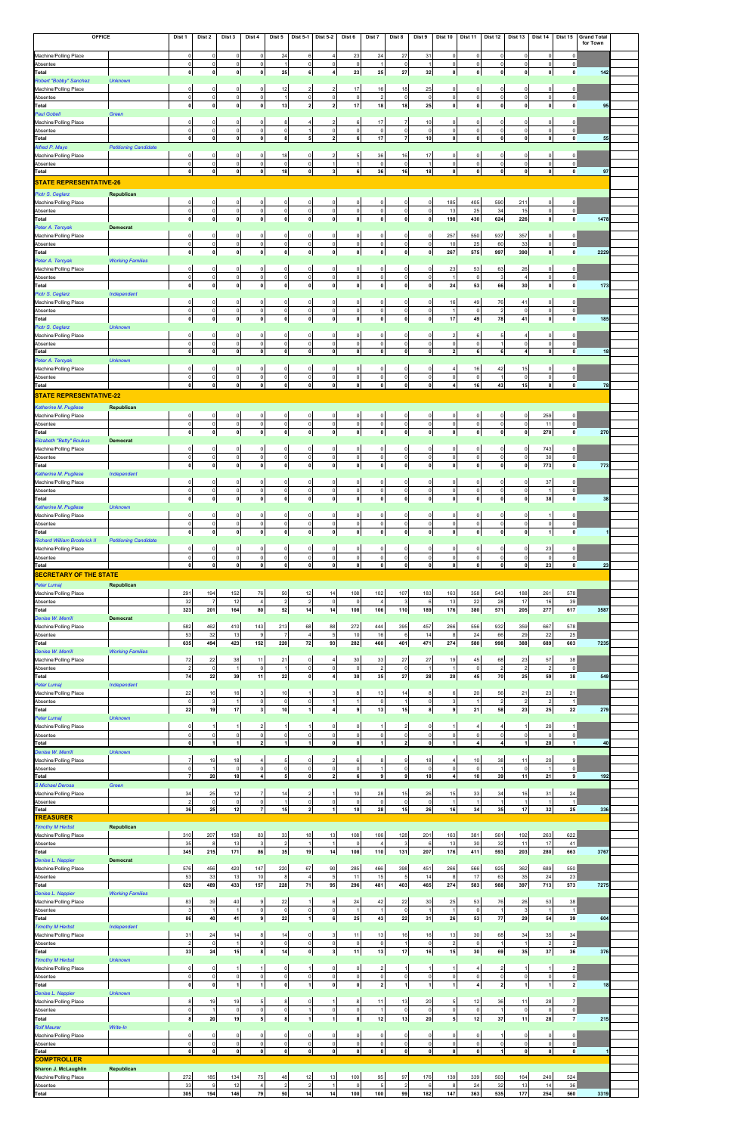| <b>OFFICE</b>                                    |                              | Dist 1                        | Dist 2                    | Dist 3                        | Dist 4                         | Dist 5                        | <b>Dist 5-1</b>               | <b>Dist 5-2</b>                        | Dist 6                  | Dist 7                  | Dist 8                         | Dist 9                         | Dist 10                            | Dist 11                    | Dist 12                       | Dist 13                        | Dist 14                     | Dist 15                        | <b>Grand Total</b><br>for Town |  |
|--------------------------------------------------|------------------------------|-------------------------------|---------------------------|-------------------------------|--------------------------------|-------------------------------|-------------------------------|----------------------------------------|-------------------------|-------------------------|--------------------------------|--------------------------------|------------------------------------|----------------------------|-------------------------------|--------------------------------|-----------------------------|--------------------------------|--------------------------------|--|
|                                                  |                              | $\mathbf 0$                   |                           |                               | $\circ$                        |                               |                               |                                        |                         |                         |                                |                                |                                    | $\circ$                    | $\Omega$                      | $\mathbf 0$                    | $\Omega$                    |                                |                                |  |
| Machine/Polling Place<br>Absentee                |                              | $\mathbf 0$                   | $\circ$<br>$\circ$        | 0<br>$\mathsf 0$              | 0                              | 24<br>-1                      | 6<br>$\circ$                  | $\overline{4}$<br>$\mathsf 0$          | 23<br>$\circ$           | 24<br>1                 | 27<br>$\Omega$                 | 31                             | 0<br>$\mathsf 0$                   | 0                          | 0                             | $\mathbf 0$                    | $\mathbf 0$                 | $\mathbf 0$<br>$\overline{0}$  |                                |  |
| <b>Total</b>                                     |                              | 0                             | 0                         | 0                             | 0                              | 25                            | $\bf{6}$                      | $\overline{4}$                         | 23                      | 25                      | 27                             | 32                             | 0                                  | 0                          | 0                             | 0                              | $\mathbf{0}$                | $\mathbf{0}$                   | 142                            |  |
| Robert "Bobby" Sanchez<br>Machine/Polling Place  | <b>Unknown</b>               | 0                             | $\overline{0}$            | $\mathbf 0$                   | $\circ$                        | 12                            | $\overline{2}$                | $\overline{2}$                         | 17                      | 16                      | 18                             | 25                             | 0                                  | $\circ$                    | $\Omega$                      | $\mathbf 0$                    | 0                           | 0                              |                                |  |
| Absentee                                         |                              | $\mathbf 0$                   | $\circ$                   | $\mathbf 0$                   | $\circ$                        | $\overline{1}$                | $\mathsf{O}$                  | $\pmb{0}$                              | $\mathbf 0$             | $\overline{2}$          | $\overline{0}$                 | $\mathbf 0$                    | $\circ$                            | $\circ$                    | $\mathsf{O}\xspace$           | $\circ$                        | $\Omega$                    | $\mathbf 0$                    |                                |  |
| Total                                            |                              | 0                             | 0                         | 0                             | $\mathbf{0}$                   | 13                            | $\overline{\mathbf{2}}$       | $\overline{2}$                         | 17                      | 18                      | 18                             | 25                             | 0                                  | 0                          | 0                             | 0                              | $\mathbf{0}$                | $\mathbf{0}$                   | 95                             |  |
| Paul Gobell<br>Machine/Polling Place             | Green                        | $\Omega$                      | $\circ$                   | 0                             | $\circ$                        | 8                             | $\overline{4}$                | $\overline{2}$                         | $6 \overline{6}$        | 17                      | $\overline{7}$                 | 10                             | 0                                  | $\mathbf{0}$               | $\Omega$                      | $\mathbf 0$                    | 0                           | 0                              |                                |  |
| Absentee                                         |                              | $\mathbf 0$                   | $\circ$                   | $\circ$                       | $\circ$                        | $\mathsf{o}$                  | $\overline{1}$                | $\mathsf 0$                            | $\circ$                 | $\circ$                 | $\overline{0}$                 | $\circ$                        | $\circ$                            | $\circ$                    | $\mathbf 0$                   | $\circ$                        | $\Omega$                    | $\circ$                        |                                |  |
| Total<br>Alfred P. Mayo                          | <b>Petitioning Candidate</b> | $\mathbf{0}$                  | 0                         | $\mathbf{0}$                  | $\mathbf{0}$                   | 8                             | 5 <sub>5</sub>                | $\overline{2}$                         | 6                       | 17                      | $\overline{7}$                 | 10 <sup>1</sup>                | 0                                  | οl                         | 0                             | 0                              | $\mathbf{0}$                | $\bullet$                      | 55                             |  |
| Machine/Polling Place                            |                              | $\Omega$                      | $\circ$                   | 0                             | 0                              | 18                            | $\mathsf{O}$                  | $\overline{2}$                         | 5 <sub>5</sub>          | 36                      | 16                             | 17                             | 0                                  | $\mathbf{0}$               | 0                             | $\mathbf 0$                    | 0                           | 0                              |                                |  |
| Absentee                                         |                              | $\Omega$                      | $\circ$                   | $\mathbf 0$                   | $\circ$                        | $\mathsf 0$                   | $\mathbf 0$                   | $\overline{1}$                         | 1<br>6                  | $\circ$                 | $\overline{0}$                 |                                | $\circ$                            | $\circ$                    | $\mathbf 0$                   | $\circ$                        | $\Omega$                    | $\mathsf 0$                    |                                |  |
| Total<br><b>STATE REPRESENTATIVE-26</b>          |                              | $\mathbf{0}$                  | 0                         | $\mathbf{0}$                  | $\mathbf{0}$                   | 18                            | $\mathbf{0}$                  | 3 <sup>1</sup>                         |                         | 36                      | 16                             | 18                             | 0                                  | οl                         | $\mathbf{0}$                  | 0                              | $\mathbf{0}$                | $\bullet$                      | 97                             |  |
| Piotr S. Ceglarz                                 | Republican                   |                               |                           |                               |                                |                               |                               |                                        |                         |                         |                                |                                |                                    |                            |                               |                                |                             |                                |                                |  |
| Machine/Polling Place                            |                              | $\Omega$                      | $\circ$                   | $\mathsf 0$                   | $\circ$                        | $\mathbf 0$                   | $\mathbf 0$                   | 0                                      | $\circ$                 | $\circ$                 | $\Omega$                       | $\circ$                        | 185                                | 405                        | 590                           | 211                            | $\Omega$                    | 0                              |                                |  |
| Absentee                                         |                              | $\mathbf 0$<br>$\mathbf{0}$   | $\circ$<br> 0             | $\mathsf 0$<br>$\mathbf 0$    | $\circ$<br>$\mathbf{0}$        | $\mathbf 0$<br>$\mathbf 0$    | $\mathsf{O}$<br>$\mathbf{0}$  | $\pmb{0}$<br> 0                        | $\circ$<br> 0           | $\circ$<br>$\mathbf{0}$ | $\circ$<br>$\mathbf{0}$        | $\circ$<br>$\mathbf{0}$        | 13                                 | 25                         | 34                            | 15<br>226                      | $\mathbf 0$<br> 0           | $\circ$<br>$\mathbf{0}$        | 1478                           |  |
| Total<br>Peter A. Tercyak                        | <b>Democrat</b>              |                               |                           |                               |                                |                               |                               |                                        |                         |                         |                                |                                | 198                                | 430                        | 624                           |                                |                             |                                |                                |  |
| Machine/Polling Place                            |                              | 0                             | $\overline{0}$            | $\mathbf 0$                   | $\overline{0}$                 | $\mathbf 0$                   | $\mathbf 0$                   | 0                                      | $\circ$                 | $\mathbf 0$             | $\Omega$                       | $\overline{0}$                 | 257                                | 550                        | 937                           | 357                            | $\Omega$                    | 0                              |                                |  |
| Absentee<br>Total                                |                              | $\mathbf 0$<br>$\mathbf{0}$   | $\circ$<br>$\mathbf{0}$   | $\mathsf 0$<br>$\mathbf 0$    | $\overline{0}$<br>$\mathbf{0}$ | $\mathsf 0$<br>$\mathbf{0}$   | $\mathsf{O}$<br>$\mathbf{0}$  | $\mathsf 0$<br>$\pmb{0}$               | $\circ$<br> 0           | $\circ$<br>$\mathbf{0}$ | $\Omega$<br>$\mathbf{0}$       | $\circ$<br>0                   | 10<br>267                          | 25<br>575                  | 60<br>997                     | 33<br>390                      | $\mathbf 0$<br>$\mathbf{0}$ | $\overline{0}$<br>$\mathbf{0}$ | 2229                           |  |
| Peter A. Tercyak                                 | <b>Working Families</b>      |                               |                           |                               |                                |                               |                               |                                        |                         |                         |                                |                                |                                    |                            |                               |                                |                             |                                |                                |  |
| Machine/Polling Place                            |                              | $\Omega$                      | $\overline{0}$            | $\mathbf 0$                   | $\overline{0}$                 | $\mathbf 0$                   | $\mathbf 0$                   | 0                                      | $\circ$                 | $\mathbf 0$             | $\Omega$                       | $\mathbf 0$                    | 23                                 | 53                         | 63                            | 26                             | $\Omega$                    | 0                              |                                |  |
| Absentee<br>Total                                |                              | $\mathsf{O}$<br>$\mathbf{0}$  | $\circ$<br> 0             | $\mathsf 0$<br>$\mathbf 0$    | $\circ$<br>$\mathbf{0}$        | $\mathbf 0$<br>$\mathbf 0$    | $\mathsf{O}$<br>$\mathbf 0$   | $\pmb{0}$<br> 0                        | $\circ$<br> 0           | $\circ$<br>$\mathbf{0}$ | $\Omega$<br>$\mathbf{0}$       | $\circ$<br>0                   | $\overline{1}$<br>24               | $\circ$<br>53              | $\mathbf{3}$<br>66            | $\overline{4}$<br>30           | $\mathbf 0$<br>$\mathbf{0}$ | $\circ$<br>$\mathbf{0}$        | 173                            |  |
| Piotr S. Ceglarz                                 | Independent                  |                               |                           |                               |                                |                               |                               |                                        |                         |                         |                                |                                |                                    |                            |                               |                                |                             |                                |                                |  |
| Machine/Polling Place                            |                              | 0                             | $\overline{0}$            | $\mathbf 0$                   | $\overline{0}$                 | $\mathbf 0$                   | $\mathbf 0$                   | 0                                      | $\circ$                 | $\mathbf 0$             | $\Omega$                       | $\overline{0}$                 | 16                                 | 49                         | 76                            | 41                             | $\Omega$                    | 0                              |                                |  |
| Absentee<br>Total                                |                              | $\mathsf{O}$<br>$\mathbf{0}$  | $\circ$<br> 0             | $\mathsf 0$<br>$\mathbf 0$    | $\circ$<br>$\mathbf{0}$        | $\pmb{0}$<br>$\mathbf 0$      | $\mathsf{O}$<br>$\mathbf 0$   | $\pmb{0}$<br> 0                        | $\circ$<br> 0           | $\circ$<br>$\mathbf{0}$ | $\mathbf 0$<br>$\mathbf{0}$    | $\overline{0}$<br>$\mathbf{0}$ | $\mathbf{1}$<br>17                 | 0 <br>49                   | $\overline{2}$<br>78          | $\mathsf{O}$<br>41             | $\mathbf 0$<br>$\mathbf{0}$ | $\pmb{0}$<br>$\mathbf{0}$      | 185                            |  |
| Piotr S. Ceglarz                                 | <b>Unknown</b>               |                               |                           |                               |                                |                               |                               |                                        |                         |                         |                                |                                |                                    |                            |                               |                                |                             |                                |                                |  |
| Machine/Polling Place                            |                              | 0                             | $\overline{0}$            | $\mathbf 0$                   | $\circ$                        | 0                             | $\mathbf 0$                   | 0                                      | $\circ$                 | $\mathsf{O}$            | $\Omega$                       | $\overline{0}$                 | $\overline{2}$                     | 6                          | 5                             | $\overline{4}$                 | $\Omega$                    | 0                              |                                |  |
| Absentee<br><b>Total</b>                         |                              | $\mathsf{O}$<br>$\mathbf 0$   | $\circ$<br>$\mathbf{0}$   | $\mathsf 0$<br> 0             | $\overline{0}$<br>$\mathbf{0}$ | $\mathbf 0$<br>$\mathbf{0}$   | $\mathsf{O}$<br>$\mathbf 0$   | $\pmb{0}$<br>$\pmb{0}$                 | $\circ$<br> 0           | $\circ$<br>$\mathbf{0}$ | $\overline{0}$<br>$\mathbf{0}$ | 0 <br>$\mathbf{0}$             | $\overline{0}$<br>$\overline{2}$   | 0 <br>6                    | 6                             | $\mathsf{O}$<br>$\overline{4}$ | $\Omega$<br>$\mathbf 0$     | 0 <br>$\mathbf{0}$             | 18                             |  |
| Peter A. Tercyak                                 | <b>Unknown</b>               |                               |                           |                               |                                |                               |                               |                                        |                         |                         |                                |                                |                                    |                            |                               |                                |                             |                                |                                |  |
| Machine/Polling Place                            |                              | $\Omega$                      | $\circ$                   | $\mathbf 0$                   | $\overline{0}$                 | $\mathsf 0$                   | $\mathbf 0$                   | 0                                      | $\circ$                 | $\overline{0}$          | $\Omega$                       | 0                              | $\overline{4}$                     | 16                         | 42                            | 15                             | $\Omega$                    | 0                              |                                |  |
| Absentee<br>Total                                |                              | $\mathbf 0$<br>$\mathbf 0$    | $\circ$<br>$\mathbf{0}$   | 0<br>$\pmb{0}$                | $\overline{0}$<br> 0           | $\mathsf 0$<br>$\mathbf{0}$   | $\mathsf{O}$<br>$\mathbf 0$   | $\mathsf 0$<br>$\pmb{0}$               | $\circ$<br> 0           | $\circ$<br>$\mathbf{0}$ | $\Omega$<br>$\mathbf{0}$       | $\mathbf 0$<br>$\mathbf{0}$    | $\overline{0}$<br>$\boldsymbol{4}$ | $\circ$<br>16              | -1<br>43                      | $\mathbf 0$<br>15              | $\Omega$<br>$\mathbf 0$     | $\mathsf 0$<br>$\mathbf 0$     | 78                             |  |
| <b>STATE REPRESENTATIVE-22</b>                   |                              |                               |                           |                               |                                |                               |                               |                                        |                         |                         |                                |                                |                                    |                            |                               |                                |                             |                                |                                |  |
| Katherine M. Pugliese                            | Republican                   |                               |                           |                               |                                |                               |                               |                                        |                         |                         |                                |                                |                                    |                            |                               |                                |                             |                                |                                |  |
| Machine/Polling Place                            |                              | $\Omega$<br>$\Omega$          | $\overline{0}$<br>$\circ$ | $\mathsf 0$<br>$\mathsf 0$    | $\circ$<br> 0                  | $\mathsf 0$<br>$\mathsf 0$    | $\mathsf{O}$<br>$\pmb{0}$     | 0<br>$\pmb{0}$                         | $\circ$<br>$\circ$      | $\mathsf{O}$<br>$\circ$ | $\mathbf 0$<br>$\circ$         | 0<br>$\circ$                   | $\mathbf{0}$<br>$\circ$            | 0 <br>$\circ$              | $\circ$<br>$\mathbf 0$        | $\circ$<br>$\mathsf{O}$        | 259<br>11                   | 0<br> 0                        |                                |  |
| Absentee<br>Total                                |                              | $\mathbf 0$                   | $\mathbf{0}$              | $\pmb{0}$                     | $\mathbf{0}$                   | $\mathbf 0$                   | $\mathbf 0$                   | $\pmb{0}$                              | 0                       | $\mathbf 0$             | $\mathbf{0}$                   | 0                              | 0                                  | $\mathbf{0}$               | $\mathbf{0}$                  | $\mathbf 0$                    | 270                         | $\mathbf{0}$                   | 270                            |  |
| <b>Elizabeth "Betty" Boukus</b>                  | <b>Democrat</b>              |                               |                           |                               |                                |                               |                               |                                        |                         |                         |                                |                                |                                    |                            |                               |                                |                             |                                |                                |  |
| Machine/Polling Place<br>Absentee                |                              | 0<br>$\Omega$                 | $\circ$<br>$\circ$        | $\overline{0}$<br>$\mathbb O$ | $\overline{0}$<br>$\circ$      | $\mathbf 0$<br>$\mathsf 0$    | $\mathsf{O}$<br>$\pmb{0}$     | 0<br>$\pmb{0}$                         | $\circ$<br>$\mathbf 0$  | 0<br>$\circ$            | 0<br>$\mathbf 0$               | $\mathbf 0$<br>$\Omega$        | $\circ$<br>$\mathbf 0$             | $\overline{0}$<br>$\circ$  | $\overline{0}$<br>$\mathbf 0$ | $\circ$<br>$\mathsf{O}$        | 743<br>30                   | 0 <br>$\circ$                  |                                |  |
| Total                                            |                              | $\mathbf 0$                   | $\mathbf{0}$              | 0                             | 0                              | $\mathbf{0}$                  | $\mathbf 0$                   | 0                                      | 0                       | $\mathbf{0}$            | $\mathbf{0}$                   | $\mathbf{0}$                   | 0                                  | $\mathbf{0}$               | 0                             | 0                              | 773                         | $\bullet$                      | 773                            |  |
| Katherine M. Pugliese                            | Independent                  |                               |                           |                               |                                |                               |                               |                                        |                         |                         |                                |                                |                                    |                            |                               |                                |                             |                                |                                |  |
| Machine/Polling Place                            |                              | $\Omega$<br>$\Omega$          | $\mathbf 0$<br>$\circ$    | $\mathbf 0$<br>$\mathbf 0$    | 0<br>$\circ$                   | $\mathbf 0$<br>$\mathsf 0$    | 0<br>$\pmb{0}$                | 0<br>$\mathsf 0$                       | $\circ$<br>$\mathbf 0$  | $\mathbf 0$<br>$\circ$  | O<br>$\mathbf 0$               | C<br>$\Omega$                  | $\Omega$<br>$\mathsf 0$            | 0<br>$\circ$               | $\Omega$<br>$\Omega$          | $\Omega$<br>$\mathsf{O}$       | 37<br>$\overline{1}$        | 0<br>$\circ$                   |                                |  |
| Absentee<br>Total                                |                              | $\mathbf 0$                   | $\mathbf{0}$              | $\pmb{0}$                     | $\mathbf{0}$                   | $\mathbf 0$                   | $\mathbf 0$                   | $\pmb{0}$                              | 0                       | $\mathbf{0}$            | $\mathbf{0}$                   | 0                              | 0                                  | $\mathbf{0}$               | 0                             | $\mathbf 0$                    | 38                          | $\mathbf{0}$                   | 38                             |  |
| Katherine M. Pugliese                            | <b>Unknown</b>               |                               |                           |                               |                                |                               |                               |                                        |                         |                         |                                |                                |                                    |                            |                               |                                |                             |                                |                                |  |
| Machine/Polling Place                            |                              | $\Omega$                      | $\mathbf 0$               | $\mathbf 0$                   | 0                              | $\mathbf 0$                   | $\mathbf 0$                   | 0                                      | $\circ$                 | 0                       | O                              | $\Omega$                       | $\Omega$                           | $\circ$                    | $\Omega$                      | $\Omega$                       |                             | 0                              |                                |  |
| Absentee<br>Total                                |                              | $\Omega$<br>$\mathbf 0$       | $\circ$<br>$\mathbf{0}$   | $\mathsf 0$<br>$\pmb{0}$      | $\circ$<br>$\mathbf{0}$        | $\mathsf 0$<br>$\mathbf 0$    | $\pmb{0}$<br>$\mathbf 0$      | $\mathsf 0$<br>$\pmb{0}$               | $\circ$<br> 0           | $\circ$<br>$\mathbf{0}$ | $\mathbf 0$<br>$\mathbf{0}$    | $\circ$<br>0                   | $\circ$<br>$\pmb{0}$               | $\circ$<br>$\mathbf{0}$    | $\mathbf 0$<br>$\mathbf{0}$   | $\mathsf{O}$<br>$\mathbf 0$    | $\mathbf 0$<br>1            | 0 <br>$\mathbf{0}$             |                                |  |
| <b>Richard William Broderick II</b>              | <b>Petitioning Candidate</b> |                               |                           |                               |                                |                               |                               |                                        |                         |                         |                                |                                |                                    |                            |                               |                                |                             |                                |                                |  |
| Machine/Polling Place                            |                              | $\Omega$<br>$\Omega$          | $\mathbf 0$<br>$\circ$    | $\mathbf 0$                   | 0                              | $\mathbf 0$                   | 0                             | 0                                      | $\circ$                 | $\mathbf 0$             | 0                              | $\Omega$<br>$\overline{0}$     | 0<br>$\mathbf 0$                   | 0<br>$\circ$               | $\Omega$<br>$\Omega$          | $\mathbf 0$<br>$\mathsf{O}$    | 23<br>$\circ$               | $\mathbf 0$<br>$\circ$         |                                |  |
| Absentee                                         |                              |                               |                           |                               |                                |                               |                               |                                        |                         |                         |                                |                                |                                    |                            |                               |                                |                             |                                |                                |  |
| Total                                            |                              | $\mathbf 0$                   | 0                         | $\mathbf 0$<br>$\pmb{0}$      | $\circ$<br> 0                  | $\mathsf 0$<br>$\mathbf{0}$   | $\pmb{0}$<br>$\mathbf 0$      | $\mathsf 0$<br> 0                      | $\circ$<br> 0           | $\circ$<br> 0           | $\mathbf 0$<br>$\mathbf{0}$    | 0                              | 0                                  | $\mathbf{0}$               | $\mathbf{0}$                  | 0                              | 23                          | $\mathbf{0}$                   | 23                             |  |
| <b>SECRETARY OF THE STATE</b>                    |                              |                               |                           |                               |                                |                               |                               |                                        |                         |                         |                                |                                |                                    |                            |                               |                                |                             |                                |                                |  |
| Peter Lumaj                                      | Republican                   |                               |                           |                               |                                |                               |                               |                                        |                         |                         |                                |                                |                                    |                            |                               |                                |                             |                                |                                |  |
| Machine/Polling Place<br>Absentee                |                              | 291<br>32                     | 194<br>$\overline{7}$     | 152<br>12                     | 76<br>$\overline{4}$           | 50<br>$\overline{2}$          | 12<br>$\overline{2}$          | 14<br>$\mathsf 0$                      | 108<br>$\circ$          | 102<br>$\overline{4}$   | 107<br>3                       | 183<br>6                       | 163<br>13                          | 358<br>22                  | 543<br>28                     | 188<br>17                      | 261<br>16                   | 578<br>39                      |                                |  |
| Total                                            |                              | 323                           | 201                       | 164                           | 80                             | 52                            | 14                            | 14                                     | 108                     | 106                     | 110                            | 189                            | 176                                | 380                        | 571                           | 205                            | 277                         | 617                            | 3587                           |  |
| Denise W. Merrill<br>Machine/Polling Place       | <b>Democrat</b>              | 582                           | 462                       | 410                           | 143                            | 213                           | 68                            | 88                                     | 272                     | 444                     | 395                            | 457                            | 266                                | 556                        | 932                           | 359                            | 667                         | 578                            |                                |  |
| Absentee                                         |                              | 53                            | 32                        | 13                            | 9                              | $\overline{7}$                | $\overline{4}$                | $\sqrt{5}$                             | 10                      | 16                      | 6                              | 14                             | 8                                  | 24                         | 66                            | 29                             | 22                          | 25                             |                                |  |
| Total                                            |                              | 635                           | 494                       | 423                           | 152                            | 220                           | 72                            | 93                                     | 282                     | 460                     | 401                            | 471                            | 274                                | 580                        | 998                           | 388                            | 689                         | 603                            | 7235                           |  |
| Denise W. Merrill<br>Machine/Polling Place       | <b>Working Families</b>      | 72                            | 22                        | 38                            | 11                             | 21                            | $\mathbf 0$                   | 4                                      | 30                      | 33                      | 27                             | 27                             | 19                                 | 45                         | 68                            | 23                             | 57                          | 38                             |                                |  |
| Absentee                                         |                              | $\overline{2}$                | $\circ$                   | $\mathbf{1}$                  | $\mathsf 0$                    | $\overline{1}$                | $\mathbf 0$                   | $\mathsf 0$                            | $\overline{0}$          | $\overline{2}$          | $\mathsf{O}$                   |                                | $\overline{1}$                     | $\circ$                    | $\overline{2}$                | $\overline{2}$                 | $\overline{2}$              | $\circ$                        |                                |  |
| Total                                            |                              | 74                            | 22                        | 39                            | 11                             | 22                            | $\mathbf 0$                   | $\boldsymbol{4}$                       | 30                      | 35                      | 27                             | 28                             | 20                                 | 45                         | 70                            | 25                             | 59                          | 38                             | 549                            |  |
| Peter Lumaj<br>Machine/Polling Place             | Independent                  | 22                            | 16                        | 16                            | 3 <sup>1</sup>                 | 10                            | $\mathbf{1}$                  | 3                                      | 8                       | 13                      | 14                             | 8                              | 6                                  | 20                         | 56                            | 21                             | 23                          | 21                             |                                |  |
| Absentee                                         |                              | $\mathbf 0$                   | $\overline{3}$            | $\mathbf{1}$                  | $\circ$                        | $\mathsf 0$                   | $\pmb{0}$                     | $\overline{1}$                         | 1                       | $\circ$                 | $\mathbf{1}$                   | $\circ$                        | 3                                  | $\mathbf{1}$               | $\overline{2}$                | $\overline{2}$                 | $\overline{2}$              | $\overline{1}$                 |                                |  |
| Total<br>Peter Lumaj                             | <b>Unknown</b>               | 22                            | 19                        | 17                            | 3 <sup>1</sup>                 | 10                            | $\mathbf{1}$                  | $\overline{4}$                         | 9                       | 13                      | 15                             | 8                              | 9                                  | 21                         | 58                            | 23                             | 25                          | 22                             | 279                            |  |
| Machine/Polling Place                            |                              | $\Omega$                      |                           |                               | 2 <sub>1</sub>                 |                               | $\mathbf{1}$                  | 0                                      | $\circ$                 | 1                       | $\overline{2}$                 | $\Omega$                       |                                    | 4                          |                               |                                | 20                          |                                |                                |  |
| Absentee<br>Total                                |                              | $\Omega$<br>$\mathbf{0}$      | $\circ$<br>$\vert$ 1      | $\mathsf 0$<br>1              | $\circ$<br>$\overline{2}$      | $\mathsf 0$<br>$\vert$        | $\mathbf 0$<br>$\mathbf{1}$   | $\mathsf 0$<br>$\mathbf 0$             | $\circ$<br>$\mathbf{0}$ | $\circ$<br>1            | $\mathbf 0$<br>$\overline{2}$  | $\Omega$<br>$\mathbf{0}$       | $\mathsf 0$<br>$\vert$ 1           | $\circ$<br>4 <sup>1</sup>  | $\Omega$<br>$\overline{4}$    | $\mathsf{O}$<br>1              | $\overline{0}$<br>20        | $\circ$<br>$\vert$             | 40                             |  |
| Denise W. Merrill                                | <b>Unknown</b>               |                               |                           |                               |                                |                               |                               |                                        |                         |                         |                                |                                |                                    |                            |                               |                                |                             |                                |                                |  |
| Machine/Polling Place                            |                              | $\overline{7}$                | 19                        | 18                            | 4                              | 5                             | $\mathbf 0$                   | $\overline{2}$                         | $6 \overline{6}$        | 8                       | 9                              | 18                             | $\overline{4}$                     | 10                         | 38<br>$\overline{1}$          | 11                             | 20                          | 9                              |                                |  |
| Absentee<br>Total                                |                              | $\mathbf 0$<br>$\overline{7}$ | $\mathbf{1}$<br>20        | $\mathsf 0$<br>18             | $\circ$<br>4 <sup>1</sup>      | $\mathsf 0$<br>5 <sup>1</sup> | $\mathbf 0$<br>$\mathbf 0$    | $\mathsf 0$<br>$\overline{\mathbf{z}}$ | $\circ$<br>6            | $\mathbf{1}$<br>9       | $\mathbf 0$<br>$\mathbf{9}$    | $\overline{0}$<br>18           | $\circ$<br>4 <sup>1</sup>          | $\circ$<br>10 <sup>1</sup> | 39                            | $\mathsf 0$<br>11              | $\overline{1}$<br>21        | $\circ$<br>9                   | 192                            |  |
| <b>S</b> Michael Derosa                          | Green                        |                               |                           |                               |                                |                               |                               |                                        |                         |                         |                                |                                |                                    |                            |                               |                                |                             |                                |                                |  |
| Machine/Polling Place<br>Absentee                |                              | 34<br>$\overline{2}$          | 25<br>$\circ$             | 12<br>$\mathsf 0$             | $\overline{7}$<br>$\circ$      | 14<br>$\overline{1}$          | $\overline{2}$<br>$\mathbf 0$ | $\mathbf{1}$<br>$\mathsf 0$            | 10<br>$\overline{0}$    | 28<br>$\circ$           | 15<br>$\mathbf 0$              | 26<br>$\circ$                  | 15<br>$\overline{1}$               | 33<br>$\mathbf{1}$         | 34                            | 16<br>$\overline{1}$           | 31<br>$\overline{1}$        | 24<br>$\overline{1}$           |                                |  |
| Total                                            |                              | 36                            | 25                        | 12                            | $\overline{7}$                 | 15                            | $\overline{2}$                | 1                                      | 10                      | 28                      | 15                             | 26                             | 16                                 | 34                         | 35                            | 17                             | 32                          | 25                             | 336                            |  |
| <b>TREASURER</b>                                 |                              |                               |                           |                               |                                |                               |                               |                                        |                         |                         |                                |                                |                                    |                            |                               |                                |                             |                                |                                |  |
| <b>Timothy M Herbst</b><br>Machine/Polling Place | Republican                   | 310                           | 207                       | 158                           | 83                             | 33                            | 18                            | 13                                     | 108                     | 106                     | 128                            | 201                            | 163                                | 381                        | 561                           | 192                            | 263                         | 622                            |                                |  |
| Absentee                                         |                              | 35                            | 8                         | 13                            | 3                              | $\overline{2}$                | $\overline{1}$                | $\overline{1}$                         | $\mathbf 0$             | $\overline{4}$          | 3                              | 6                              | 13                                 | 30                         | 32                            | 11                             | 17                          | 41                             |                                |  |
| Total                                            | <b>Democrat</b>              | 345                           | 215                       | 171                           | 86                             | 35                            | 19                            | 14                                     | 108                     | 110                     | 131                            | 207                            | 176                                | 411                        | 593                           | 203                            | 280                         | 663                            | 3767                           |  |
| Denise L. Nappier<br>Machine/Polling Place       |                              | 576                           | 456                       | 420                           | 147                            | 220                           | 67                            | $90\,$                                 | 285                     | 466                     | 398                            | 451                            | 266                                | 566                        | 925                           | 362                            | 689                         | 550                            |                                |  |
| Absentee                                         |                              | 53                            | 33                        | $13$                          | 10                             | 8                             | $\overline{4}$                | $\sqrt{5}$                             | 11                      | 15                      | $5\phantom{.0}$                | 14                             | 8                                  | 17                         | 63                            | 35                             | 24                          | 23                             |                                |  |
| Total                                            |                              | 629                           | 489                       | 433                           | 157                            | 228                           | $\bf 71$                      | 95                                     | 296                     | 481                     | 403                            | 465                            | 274                                | 583                        | 988                           | 397                            | 713                         | 573                            | 7275                           |  |
| Denise L. Nappier<br>Machine/Polling Place       | <b>Working Families</b>      | 83                            | 39                        | 40                            | 9                              | 22                            | $\mathbf{1}$                  | $\,6\,$                                | 24                      | 42                      | 22                             | 30                             | 25                                 | 53                         | 76                            | 26                             | 53                          | 38                             |                                |  |
| Absentee                                         |                              | $\mathbf{3}$                  | $\overline{1}$            | $\mathbf{1}$                  | 0                              | $\mathsf{O}$                  | $\mathsf{O}$                  | $\mathsf 0$                            | 1                       | $\mathbf{1}$            | $\circ$                        | $\overline{1}$                 | $\overline{1}$                     | 0                          | $\overline{1}$                | $\mathbf{3}$                   | $\overline{1}$              | $\overline{1}$                 |                                |  |
| Total                                            |                              | 86                            | 40                        | 41                            | 9 <sup>1</sup>                 | $\bf 22$                      | $\mathbf{1}$                  | 6                                      | 25                      | 43                      | 22                             | 31                             | 26                                 | 53                         | 77                            | 29                             | 54                          | 39                             | 604                            |  |
| <b>Timothy M Herbst</b><br>Machine/Polling Place | Independent                  | 31                            | 24                        | 14                            | 8 <sup>1</sup>                 | 14                            | $\mathbf 0$                   | 3                                      | 11                      | 13                      | 16                             | 16                             | 13                                 | 30                         | 68                            | 34                             | 35                          | 34                             |                                |  |
| Absentee                                         |                              | $\overline{2}$                | $\circ$                   | $\mathbf{1}$                  | 0                              | $\circ$                       | $\mathsf{O}$                  | $\pmb{0}$                              | $\circ$                 | $\circ$                 | 1                              | $\circ$                        | $\overline{2}$                     | 0                          | $\overline{1}$                | $\overline{1}$                 | $\overline{2}$              | $\overline{2}$                 |                                |  |
| Total                                            |                              | 33                            | 24                        | 15                            | 8 <sup>1</sup>                 | 14                            | $\mathbf 0$                   | $\mathbf{3}$                           | 11                      | 13                      | 17                             | 16                             | 15                                 | 30                         | 69                            | 35                             | 37                          | 36                             | 376                            |  |
| <b>Timothy M Herbst</b><br>Machine/Polling Place | <b>Unknown</b>               | $\mathbf 0$                   | $\circ$                   | $\mathbf{1}$                  | 1                              | $\mathsf 0$                   | $\overline{1}$                | 0                                      | 0                       | $\overline{2}$          | $\mathbf{1}$                   |                                | $\mathbf{1}$                       | 4 <sup>1</sup>             | $\overline{2}$                | $\overline{1}$                 | -1                          | $\vert$ 2                      |                                |  |
| Absentee                                         |                              | $\mathbf 0$                   | $\circ$                   | $\mathsf{o}$                  | 0                              | 0                             | $\mathsf{O}$                  | $\circ$                                | $\circ$                 | 0                       | $\circ$                        | $\overline{0}$                 | $\circ$                            | 0                          | $\circ$                       | $\circ$                        | $\pmb{0}$                   | 0                              |                                |  |
| Total                                            |                              | $\mathbf 0$                   | $\mathbf{0}$              | $\mathbf{1}$                  | 1                              | $\mathbf 0$                   | $\mathbf{1}$                  | 0                                      | $\mathbf{0}$            | $\mathbf{z}$            | $\mathbf{1}$                   |                                | 1                                  | 4 <sup>1</sup>             | $\overline{2}$                | 1                              | 1                           | $\overline{2}$                 | 18                             |  |
| Denise L. Nappier<br>Machine/Polling Place       | <b>Unknown</b>               | 8                             | 19                        | 19                            | 5 <sub>5</sub>                 | $\bf8$                        | $\mathsf{O}$                  | $\overline{1}$                         | 8                       | 11                      | 13                             | 20                             | 5 <sub>5</sub>                     | 12                         | 36                            | 11                             | 28                          | $\overline{7}$                 |                                |  |
| Absentee                                         |                              | $\mathbf 0$                   | $\mathbf{1}$              | $\circ$                       | $\circ$                        | 0                             | $\mathbf{1}$                  | $\pmb{0}$                              | 0                       | 1                       | $\circ$                        | 0                              | 0                                  | 0                          | $\overline{1}$                | $\mathsf{O}$                   | $\mathbf 0$                 | 0                              |                                |  |
| Total                                            |                              | 8                             | 20                        | 19                            | $\mathbf{s}$                   | 8                             | 1                             | $\mathbf{1}$                           | $\boldsymbol{8}$        | 12                      | 13                             | 20                             | 5 <sup>1</sup>                     | 12                         | 37                            | 11                             | 28                          | $\overline{7}$                 | 215                            |  |
| <b>Rolf Maurer</b><br>Machine/Polling Place      | Write-In                     | $\mathbf 0$                   | $\circ$                   | $\overline{0}$                | 0                              | $\mathsf 0$                   | $\mathbf 0$                   | $\circ$                                | 0                       | $\circ$                 | $\circ$                        | $\overline{0}$                 | 0                                  | 0                          | $\overline{1}$                | $\circ$                        | $\mathbf 0$                 | 0                              |                                |  |
| Absentee                                         |                              | $\mathbf 0$                   | $\circ$                   | $\circ$                       | $\circ$                        | 0                             | $\mathsf{O}$                  | $\circ$                                | 0                       | 0                       | $\circ$                        | $\circ$                        | 0                                  | 0                          | $\circ$                       | $\circ$                        | $\mathbf 0$                 | 0                              |                                |  |
| <b>Total</b><br><b>COMPTROLLER</b>               |                              | 0                             | $\mathbf{0}$              | 0                             | 0                              | $\mathbf{0}$                  | $\mathbf{0}$                  | $\mathbf{0}$                           | 0                       | 0                       | $\mathbf{0}$                   | 0                              | 0                                  | 0                          | 1                             | 0                              | 0                           | $\bullet$                      |                                |  |
| Sharon J. McLaughlin                             | Republican                   |                               |                           |                               |                                |                               |                               |                                        |                         |                         |                                |                                |                                    |                            |                               |                                |                             |                                |                                |  |
| Machine/Polling Place<br>Absentee                |                              | 272<br>33                     | 185<br>9                  | 134<br>12                     | 75<br>$\overline{4}$           | 48<br>$\overline{2}$          | 12<br>$\overline{\mathbf{c}}$ | 13<br>$\overline{1}$                   | 100<br>$\circ$          | 95<br>$5\overline{a}$   | 97<br>$\overline{2}$           | 176<br>6                       | 139<br>8                           | 339<br>24                  | 503<br>32                     | 164<br>13                      | 240<br>14                   | 524<br>36                      |                                |  |